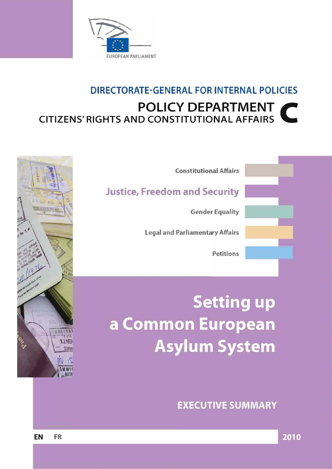

## DIRECTORATE-GENERAL FOR INTERNAL POLICIES **POLICY DEPARTMENT CITIZENS' RIGHTS AND CONSTITUTIONAL AFFAIRS**



**Setting up** a Common European **Asylum System** 

**EXECUTIVE SUMMARY** 



**CHLY** 

**12 NOV** 

TWEE

૽ૺૺ

2010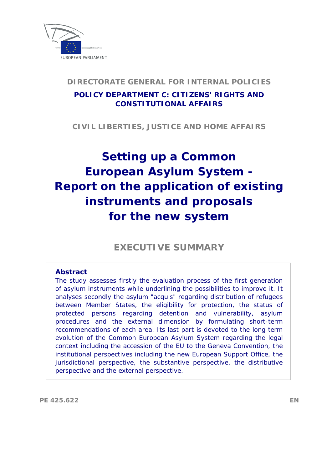

### **DIRECTORATE GENERAL FOR INTERNAL POLICIES**

### **POLICY DEPARTMENT C: CITIZENS' RIGHTS AND CONSTITUTIONAL AFFAIRS**

**CIVIL LIBERTIES, JUSTICE AND HOME AFFAIRS** 

# **Setting up a Common European Asylum System - Report on the application of existing instruments and proposals for the new system**

**EXECUTIVE SUMMARY** 

#### **Abstract**

The study assesses firstly the evaluation process of the first generation of asylum instruments while underlining the possibilities to improve it. It analyses secondly the asylum "acquis" regarding distribution of refugees between Member States, the eligibility for protection, the status of protected persons regarding detention and vulnerability, asylum procedures and the external dimension by formulating short-term recommendations of each area. Its last part is devoted to the long term evolution of the Common European Asylum System regarding the legal context including the accession of the EU to the Geneva Convention, the institutional perspectives including the new European Support Office, the jurisdictional perspective, the substantive perspective, the distributive perspective and the external perspective.

**PE 425.622 EN**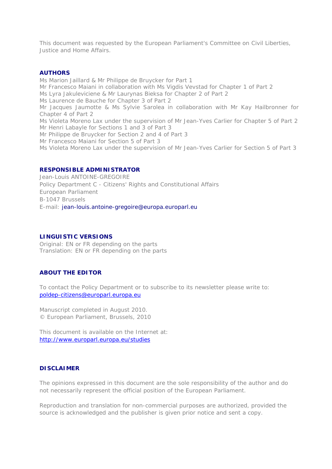This document was requested by the European Parliament's Committee on Civil Liberties, Justice and Home Affairs.

#### **AUTHORS**

Ms Marion Jaillard & Mr Philippe de Bruycker for Part 1 Mr Francesco Maiani in collaboration with Ms Vigdis Vevstad for Chapter 1 of Part 2 Ms Lyra Jakuleviciene & Mr Laurynas Bieksa for Chapter 2 of Part 2 Ms Laurence de Bauche for Chapter 3 of Part 2 Mr Jacques Jaumotte & Ms Sylvie Sarolea in collaboration with Mr Kay Hailbronner for Chapter 4 of Part 2 Ms Violeta Moreno Lax under the supervision of Mr Jean-Yves Carlier for Chapter 5 of Part 2 Mr Henri Labayle for Sections 1 and 3 of Part 3 Mr Philippe de Bruycker for Section 2 and 4 of Part 3 Mr Francesco Maiani for Section 5 of Part 3 Ms Violeta Moreno Lax under the supervision of Mr Jean-Yves Carlier for Section 5 of Part 3

#### **RESPONSIBLE ADMINISTRATOR**

Jean-Louis ANTOINE-GREGOIRE Policy Department C - Citizens' Rights and Constitutional Affairs European Parliament B-1047 Brussels E-mail: jean-louis.antoine-gregoire@europa.europarl.eu

#### **LINGUISTIC VERSIONS**

Original: EN or FR depending on the parts Translation: EN or FR depending on the parts

#### **ABOUT THE EDITOR**

To contact the Policy Department or to subscribe to its newsletter please write to: [poldep-citizens@europarl.europa.eu](mailto:poldep-citizens@europarl.europa.eu)

Manuscript completed in August 2010. © European Parliament, Brussels, 2010

This document is available on the Internet at: <http://www.europarl.europa.eu/studies>

#### **DISCLAIMER**

The opinions expressed in this document are the sole responsibility of the author and do not necessarily represent the official position of the European Parliament.

Reproduction and translation for non-commercial purposes are authorized, provided the source is acknowledged and the publisher is given prior notice and sent a copy.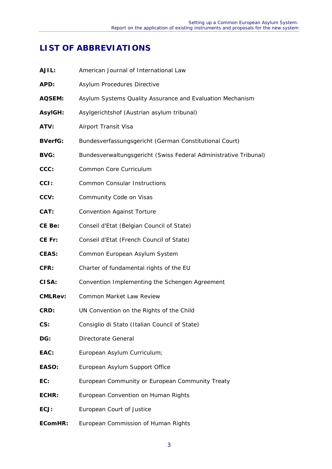### **LIST OF ABBREVIATIONS**

| AJIL:          | American Journal of International Law                            |
|----------------|------------------------------------------------------------------|
| APD:           | Asylum Procedures Directive                                      |
| <b>AQSEM:</b>  | Asylum Systems Quality Assurance and Evaluation Mechanism        |
| <b>AsylGH:</b> | Asylgerichtshof (Austrian asylum tribunal)                       |
| ATV:           | Airport Transit Visa                                             |
| <b>BVerfG:</b> | Bundesverfassungsgericht (German Constitutional Court)           |
| <b>BVG:</b>    | Bundesverwaltungsgericht (Swiss Federal Administrative Tribunal) |
| CCC:           | Common Core Curriculum                                           |
| CCI:           | <b>Common Consular Instructions</b>                              |
| CCV:           | Community Code on Visas                                          |
| CAT:           | <b>Convention Against Torture</b>                                |
| CE Be:         | Conseil d'Etat (Belgian Council of State)                        |
| CE Fr:         | Conseil d'Etat (French Council of State)                         |
| <b>CEAS:</b>   | Common European Asylum System                                    |
| CFR:           | Charter of fundamental rights of the EU                          |
| CISA:          | Convention Implementing the Schengen Agreement                   |
| <b>CMLRev:</b> | Common Market Law Review                                         |
| CRD:           | UN Convention on the Rights of the Child                         |
| CS:            | Consiglio di Stato (Italian Council of State)                    |
| DG:            | Directorate General                                              |
| EAC:           | European Asylum Curriculum;                                      |
| EASO:          | European Asylum Support Office                                   |
| EC:            | European Community or European Community Treaty                  |
| ECHR:          | European Convention on Human Rights                              |
| ECJ:           | European Court of Justice                                        |
| EComHR:        | European Commission of Human Rights                              |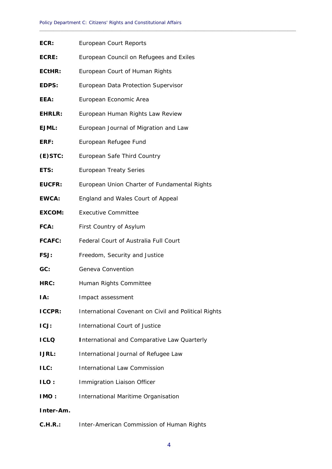**\_\_\_\_\_\_\_\_\_\_\_\_\_\_\_\_\_\_\_\_\_\_\_\_\_\_\_\_\_\_\_\_\_\_\_\_\_\_\_\_\_\_\_\_\_\_\_\_\_\_\_\_\_\_\_\_\_\_\_\_\_\_\_\_\_\_\_\_\_\_\_\_\_\_\_\_\_\_\_\_\_\_\_\_\_\_\_\_\_\_\_\_**

| ECR:          | European Court Reports                               |
|---------------|------------------------------------------------------|
| ECRE:         | European Council on Refugees and Exiles              |
| ECtHR:        | European Court of Human Rights                       |
| EDPS:         | European Data Protection Supervisor                  |
| EEA:          | European Economic Area                               |
| <b>EHRLR:</b> | European Human Rights Law Review                     |
| EJML:         | European Journal of Migration and Law                |
| ERF:          | European Refugee Fund                                |
| $(E)$ STC:    | European Safe Third Country                          |
| ETS:          | <b>European Treaty Series</b>                        |
| <b>EUCFR:</b> | European Union Charter of Fundamental Rights         |
| <b>EWCA:</b>  | England and Wales Court of Appeal                    |
| <b>EXCOM:</b> | <b>Executive Committee</b>                           |
| FCA:          | First Country of Asylum                              |
| <b>FCAFC:</b> | Federal Court of Australia Full Court                |
| FSJ:          | Freedom, Security and Justice                        |
| GC:           | Geneva Convention                                    |
| HRC:          | Human Rights Committee                               |
| IA:           | Impact assessment                                    |
| <b>ICCPR:</b> | International Covenant on Civil and Political Rights |
| ICJ:          | <b>International Court of Justice</b>                |
| <b>ICLQ</b>   | <b>International and Comparative Law Quarterly</b>   |
| <b>IJRL:</b>  | International Journal of Refugee Law                 |
| ILC:          | <b>International Law Commission</b>                  |
| <b>ILO:</b>   | Immigration Liaison Officer                          |
| IMO:          | International Maritime Organisation                  |
| Inter-Am.     |                                                      |
| C.H.R.:       | Inter-American Commission of Human Rights            |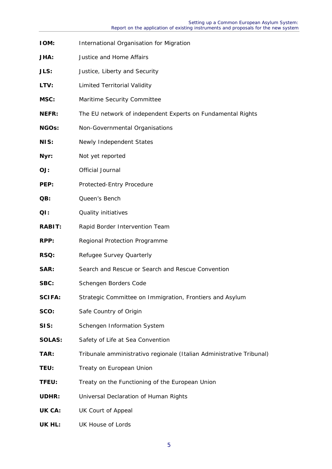- **IOM:** International Organisation for Migration **JHA:** Justice and Home Affairs **JLS:** Justice, Liberty and Security LTV: Limited Territorial Validity **MSC:** Maritime Security Committee **NEFR:** The EU network of independent Experts on Fundamental Rights **NGOs:** Non-Governmental Organisations **NIS:** Newly Independent States **Nyr:** Not yet reported **OJ:** Official Journal **PEP:** Protected-Entry Procedure QB: **Queen's Bench QI: Quality initiatives RABIT:** Rapid Border Intervention Team **RPP:** Regional Protection Programme **RSQ:** Refugee Survey Quarterly **SAR:** Search and Rescue or Search and Rescue Convention SBC: Schengen Borders Code **SCIFA:** Strategic Committee on Immigration, Frontiers and Asylum **SCO:** Safe Country of Origin **SIS:** Schengen Information System **SOLAS:** Safety of Life at Sea Convention **TAR:** Tribunale amministrativo regionale (Italian Administrative Tribunal) **TEU:** Treaty on European Union **TFEU:** Treaty on the Functioning of the European Union **UDHR:** Universal Declaration of Human Rights **UK CA:** UK Court of Appeal
- **UK HL:** UK House of Lords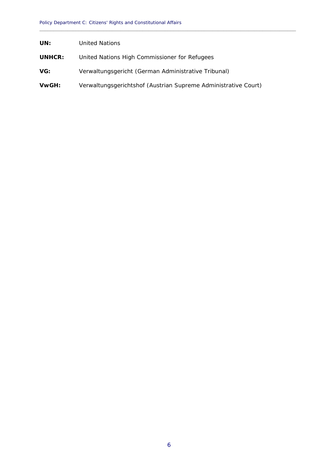- **UNHCR:** United Nations High Commissioner for Refugees
- **VG:** Verwaltungsgericht (German Administrative Tribunal)
- **VwGH:** Verwaltungsgerichtshof (Austrian Supreme Administrative Court)

**\_\_\_\_\_\_\_\_\_\_\_\_\_\_\_\_\_\_\_\_\_\_\_\_\_\_\_\_\_\_\_\_\_\_\_\_\_\_\_\_\_\_\_\_\_\_\_\_\_\_\_\_\_\_\_\_\_\_\_\_\_\_\_\_\_\_\_\_\_\_\_\_\_\_\_\_\_\_\_\_\_\_\_\_\_\_\_\_\_\_\_\_**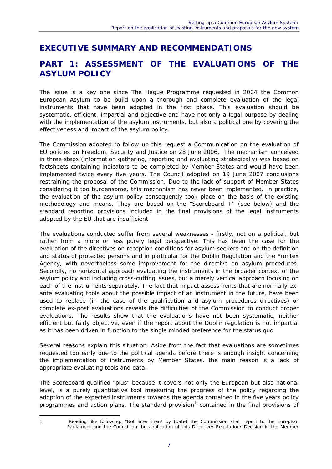### **EXECUTIVE SUMMARY AND RECOMMENDATIONS**

### **PART 1: ASSESSMENT OF THE EVALUATIONS OF THE ASYLUM POLICY**

The issue is a key one since The Hague Programme requested in 2004 the Common European Asylum to be build upon a thorough and complete evaluation of the legal instruments that have been adopted in the first phase. This evaluation should be systematic, efficient, impartial and objective and have not only a legal purpose by dealing with the implementation of the asylum instruments, but also a political one by covering the effectiveness and impact of the asylum policy.

The Commission adopted to follow up this request a Communication on the evaluation of EU policies on Freedom, Security and Justice on 28 June 2006. The mechanism conceived in three steps (information gathering, reporting and evaluating strategically) was based on factsheets containing indicators to be completed by Member States and would have been implemented twice every five years. The Council adopted on 19 June 2007 conclusions restraining the proposal of the Commission. Due to the lack of support of Member States considering it too burdensome, this mechanism has never been implemented. In practice, the evaluation of the asylum policy consequently took place on the basis of the existing methodology and means. They are based on the "Scoreboard +" (see below) and the standard reporting provisions included in the final provisions of the legal instruments adopted by the EU that are insufficient.

The evaluations conducted suffer from several weaknesses - firstly, not on a political, but rather from a more or less purely legal perspective. This has been the case for the evaluation of the directives on reception conditions for asylum seekers and on the definition and status of protected persons and in particular for the Dublin Regulation and the Frontex Agency, with nevertheless some improvement for the directive on asylum procedures. Secondly, no horizontal approach evaluating the instruments in the broader context of the asylum policy and including cross-cutting issues, but a merely vertical approach focusing on each of the instruments separately. The fact that impact assessments that are normally exante evaluating tools about the possible impact of an instrument in the future, have been used to replace (in the case of the qualification and asylum procedures directives) or complete ex-post evaluations reveals the difficulties of the Commission to conduct proper evaluations. The results show that the evaluations have not been systematic, neither efficient but fairly objective, even if the report about the Dublin regulation is not impartial as it has been driven in function to the single minded preference for the status quo.

Several reasons explain this situation. Aside from the fact that evaluations are sometimes requested too early due to the political agenda before there is enough insight concerning the implementation of instruments by Member States, the main reason is a lack of appropriate evaluating tools and data.

The Scoreboard qualified "plus" because it covers not only the European but also national level, is a purely quantitative tool measuring the progress of the policy regarding the adoption of the expected instruments towards the agenda contained in the five years policy programmes and action plans. The standard provision<sup>[1](#page-8-0)</sup> contained in the final provisions of

1

<span id="page-8-0"></span><sup>1</sup> Reading like following: *"Not later than/ by (date) the Commission shall report to the European Parliament and the Council on the application of this Directive/ Regulation/ Decision in the Member*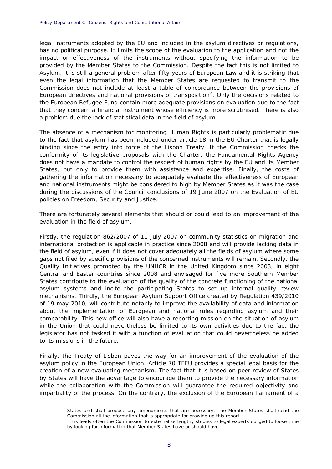legal instruments adopted by the EU and included in the asylum directives or regulations, has no political purpose. It limits the scope of the evaluation to the application and not the impact or effectiveness of the instruments without specifying the information to be provided by the Member States to the Commission. Despite the fact this is not limited to Asylum, it is still a general problem after fifty years of European Law and it is striking that even the legal information that the Member States are requested to transmit to the Commission does not include at least a table of concordance between the provisions of European directives and national provisions of transposition<sup>[2](#page-9-0)</sup>. Only the decisions related to the European Refugee Fund contain more adequate provisions on evaluation due to the fact that they concern a financial instrument whose efficiency is more scrutinised. There is also a problem due the lack of statistical data in the field of asylum.

**\_\_\_\_\_\_\_\_\_\_\_\_\_\_\_\_\_\_\_\_\_\_\_\_\_\_\_\_\_\_\_\_\_\_\_\_\_\_\_\_\_\_\_\_\_\_\_\_\_\_\_\_\_\_\_\_\_\_\_\_\_\_\_\_\_\_\_\_\_\_\_\_\_\_\_\_\_\_\_\_\_\_\_\_\_\_\_\_\_\_\_\_**

The absence of a mechanism for monitoring Human Rights is particularly problematic due to the fact that asylum has been included under article 18 in the EU Charter that is legally binding since the entry into force of the Lisbon Treaty. If the Commission checks the conformity of its legislative proposals with the Charter, the Fundamental Rights Agency does not have a mandate to control the respect of human rights by the EU and its Member States, but only to provide them with assistance and expertise. Finally, the costs of gathering the information necessary to adequately evaluate the effectiveness of European and national instruments might be considered to high by Member States as it was the case during the discussions of the Council conclusions of 19 June 2007 on the Evaluation of EU policies on Freedom, Security and Justice.

There are fortunately several elements that should or could lead to an improvement of the evaluation in the field of asylum.

Firstly, the regulation 862/2007 of 11 July 2007 on community statistics on migration and international protection is applicable in practice since 2008 and will provide lacking data in the field of asylum, even if it does not cover adequately all the fields of asylum where some gaps not filed by specific provisions of the concerned instruments will remain. Secondly, the Quality Initiatives promoted by the UNHCR in the United Kingdom since 2003, in eight Central and Easter countries since 2008 and envisaged for five more Southern Member States contribute to the evaluation of the quality of the concrete functioning of the national asylum systems and incite the participating States to set up internal quality review mechanisms. Thirdly, the European Asylum Support Office created by Regulation 439/2010 of 19 may 2010, will contribute notably to improve the availability of data and information about the implementation of European and national rules regarding asylum and their comparability. This new office will also have a reporting mission on the situation of asylum in the Union that could nevertheless be limited to its own activities due to the fact the legislator has not tasked it with a function of evaluation that could nevertheless be added to its missions in the future.

Finally, the Treaty of Lisbon paves the way for an improvement of the evaluation of the asylum policy in the European Union. Article 70 TFEU provides a special legal basis for the creation of a new evaluating mechanism. The fact that it is based on peer review of States by States will have the advantage to encourage them to provide the necessary information while the collaboration with the Commission will guarantee the required objectivity and impartiality of the process. On the contrary, the exclusion of the European Parliament of a

1

*States and shall propose any amendments that are necessary. The Member States shall send the Commission all the information that is appropriate for drawing up this report."* 

<span id="page-9-0"></span>

<sup>2</sup> This leads often the Commission to externalise lengthy studies to legal experts obliged to loose time by looking for information that Member States have or should have.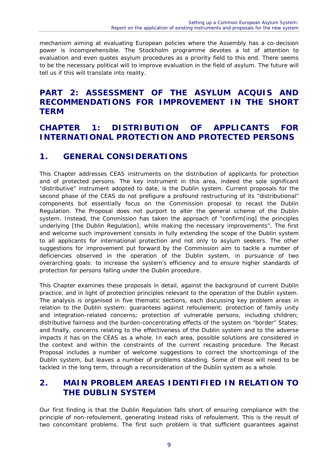mechanism aiming at evaluating European policies where the Assembly has a co-decision power is incomprehensible. The Stockholm programme devotes a lot of attention to evaluation and even quotes asylum procedures as a priority field to this end. There seems to be the necessary political will to improve evaluation in the field of asylum. The future will tell us if this will translate into reality.

### **PART 2: ASSESSMENT OF THE ASYLUM ACQUIS AND RECOMMENDATIONS FOR IMPROVEMENT IN THE SHORT TERM**

### **CHAPTER 1: DISTRIBUTION OF APPLICANTS FOR INTERNATIONAL PROTECTION AND PROTECTED PERSONS**

### **1. GENERAL CONSIDERATIONS**

This Chapter addresses CEAS instruments on the distribution of applicants for protection and of protected persons. The key instrument in this area, indeed the sole significant "distributive" instrument adopted to date, is the Dublin system. Current proposals for the second phase of the CEAS do not prefigure a profound restructuring of its "distributional" components but essentially focus on the Commission proposal to recast the Dublin Regulation. The Proposal does not purport to alter the general scheme of the Dublin system. Instead, the Commission has taken the approach of "confirm[ing] the principles underlying [the Dublin Regulation], while making the necessary improvements". The first and welcome such improvement consists in fully extending the scope of the Dublin system to all applicants for international protection and not only to asylum seekers. The other suggestions for improvement put forward by the Commission aim to tackle a number of deficiencies observed in the operation of the Dublin system, in pursuance of two overarching goals: to increase the system's efficiency and to ensure higher standards of protection for persons falling under the Dublin procedure.

This Chapter examines these proposals in detail, against the background of current Dublin practice, and in light of protection principles relevant to the operation of the Dublin system. The analysis is organised in five thematic sections, each discussing key problem areas in relation to the Dublin system: guarantees against refoulement; protection of family unity and integration-related concerns; protection of vulnerable persons, including children; distributive fairness and the burden-concentrating effects of the system on "border" States; and finally, concerns relating to the effectiveness of the Dublin system and to the adverse impacts it has on the CEAS as a whole. In each area, possible solutions are considered in the context and within the constraints of the current recasting procedure. The Recast Proposal includes a number of welcome suggestions to correct the shortcomings of the Dublin system, but leaves a number of problems standing. Some of these will need to be tackled in the long term, through a reconsideration of the Dublin system as a whole.

### **2. MAIN PROBLEM AREAS IDENTIFIED IN RELATION TO THE DUBLIN SYSTEM**

Our first finding is that the Dublin Regulation falls short of ensuring compliance with the principle of non-refoulement, generating instead risks of refoulement. This is the result of two concomitant problems. The first such problem is that sufficient guarantees against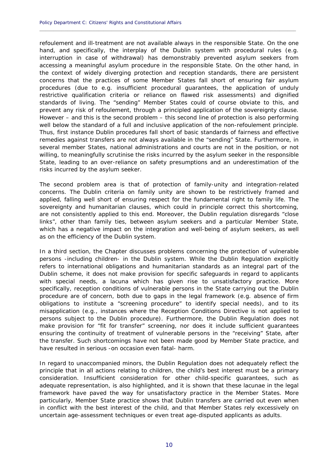refoulement and ill-treatment are not available always in the responsible State. On the one hand, and specifically, the interplay of the Dublin system with procedural rules (e.g. interruption in case of withdrawal) has demonstrably prevented asylum seekers from accessing a meaningful asylum procedure in the responsible State. On the other hand, in the context of widely diverging protection and reception standards, there are persistent concerns that the practices of some Member States fall short of ensuring fair asylum procedures (due to e.g. insufficient procedural guarantees, the application of unduly restrictive qualification criteria or reliance on flawed risk assessments) and dignified standards of living. The "sending" Member States could of course obviate to this, and prevent any risk of refoulement, through a principled application of the sovereignty clause. However – and this is the second problem – this second line of protection is also performing well below the standard of a full and inclusive application of the non-refoulement principle. Thus, first instance Dublin procedures fall short of basic standards of fairness and effective remedies against transfers are not always available in the "sending" State. Furthermore, in several member States, national administrations and courts are not in the position, or not willing, to meaningfully scrutinise the risks incurred by the asylum seeker in the responsible State, leading to an over-reliance on safety presumptions and an underestimation of the risks incurred by the asylum seeker.

**\_\_\_\_\_\_\_\_\_\_\_\_\_\_\_\_\_\_\_\_\_\_\_\_\_\_\_\_\_\_\_\_\_\_\_\_\_\_\_\_\_\_\_\_\_\_\_\_\_\_\_\_\_\_\_\_\_\_\_\_\_\_\_\_\_\_\_\_\_\_\_\_\_\_\_\_\_\_\_\_\_\_\_\_\_\_\_\_\_\_\_\_**

The second problem area is that of protection of family-unity and integration-related concerns. The Dublin criteria on family unity are shown to be restrictively framed and applied, falling well short of ensuring respect for the fundamental right to family life. The sovereignty and humanitarian clauses, which could in principle correct this shortcoming, are not consistently applied to this end. Moreover, the Dublin regulation disregards "close links", other than family ties, between asylum seekers and a particular Member State, which has a negative impact on the integration and well-being of asylum seekers, as well as on the efficiency of the Dublin system.

In a third section, the Chapter discusses problems concerning the protection of vulnerable persons -including children- in the Dublin system. While the Dublin Regulation explicitly refers to international obligations and humanitarian standards as an integral part of the Dublin scheme, it does not make provision for specific safeguards in regard to applicants with special needs, a lacuna which has given rise to unsatisfactory practice. More specifically, reception conditions of vulnerable persons in the State carrying out the Dublin procedure are of concern, both due to gaps in the legal framework (e.g. absence of firm obligations to institute a "screening procedure" to identify special needs), and to its misapplication (e.g., instances where the Reception Conditions Directive is not applied to persons subject to the Dublin procedure). Furthermore, the Dublin Regulation does not make provision for "fit for transfer" screening, nor does it include sufficient guarantees ensuring the continuity of treatment of vulnerable persons in the "receiving" State, after the transfer. Such shortcomings have not been made good by Member State practice, and have resulted in serious -on occasion even fatal- harm.

In regard to unaccompanied minors, the Dublin Regulation does not adequately reflect the principle that in all actions relating to children, the child's best interest must be a primary consideration. Insufficient consideration for other child-specific guarantees, such as adequate representation, is also highlighted, and it is shown that these lacunae in the legal framework have paved the way for unsatisfactory practice in the Member States. More particularly, Member State practice shows that Dublin transfers are carried out even when in conflict with the best interest of the child, and that Member States rely excessively on uncertain age-assessment techniques or even treat age-disputed applicants as adults.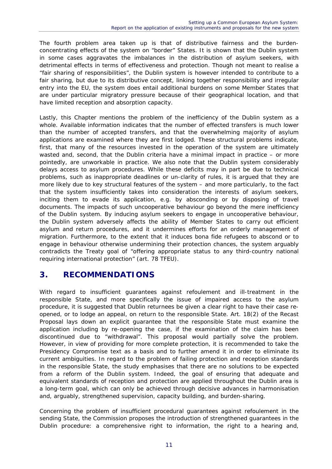The fourth problem area taken up is that of distributive fairness and the burdenconcentrating effects of the system on "border" States. It is shown that the Dublin system in some cases aggravates the imbalances in the distribution of asylum seekers, with detrimental effects in terms of effectiveness and protection. Though not meant to realise a "fair sharing of responsibilities", the Dublin system is however intended to contribute to a fair sharing, but due to its distributive concept, linking together responsibility and irregular entry into the EU, the system does entail additional burdens on some Member States that are under particular migratory pressure because of their geographical location, and that have limited reception and absorption capacity.

Lastly, this Chapter mentions the problem of the inefficiency of the Dublin system as a whole. Available information indicates that the number of effected transfers is much lower than the number of accepted transfers, and that the overwhelming majority of asylum applications are examined where they are first lodged. These structural problems indicate, first, that many of the resources invested in the operation of the system are ultimately wasted and, second, that the Dublin criteria have a minimal impact in practice – or more pointedly, are unworkable in practice. We also note that the Dublin system considerably delays access to asylum procedures. While these deficits may in part be due to technical problems, such as inappropriate deadlines or un-clarity of rules, it is argued that they are more likely due to key structural features of the system – and more particularly, to the fact that the system insufficiently takes into consideration the interests of asylum seekers, inciting them to evade its application, e.g. by absconding or by disposing of travel documents. The impacts of such uncooperative behaviour go beyond the mere inefficiency of the Dublin system. By inducing asylum seekers to engage in uncooperative behaviour, the Dublin system adversely affects the ability of Member States to carry out efficient asylum and return procedures, and it undermines efforts for an orderly management of migration. Furthermore, to the extent that it induces bona fide refugees to abscond or to engage in behaviour otherwise undermining their protection chances, the system arguably contradicts the Treaty goal of "offering appropriate status to any third-country national requiring international protection" (art. 78 TFEU).

### **3. RECOMMENDATIONS**

With regard to insufficient guarantees against refoulement and ill-treatment in the responsible State, and more specifically the issue of impaired access to the asylum procedure, it is suggested that Dublin returnees be given a clear right to have their case reopened, or to lodge an appeal, on return to the responsible State. Art. 18(2) of the Recast Proposal lays down an explicit guarantee that the responsible State must examine the application including by re-opening the case, if the examination of the claim has been discontinued due to "withdrawal". This proposal would partially solve the problem. However, in view of providing for more complete protection, it is recommended to take the Presidency Compromise text as a basis and to further amend it in order to eliminate its current ambiguities. In regard to the problem of failing protection and reception standards in the responsible State, the study emphasises that there are no solutions to be expected from a reform of the Dublin system. Indeed, the goal of ensuring that adequate and equivalent standards of reception and protection are applied throughout the Dublin area is a long-term goal, which can only be achieved through decisive advances in harmonisation and, arguably, strengthened supervision, capacity building, and burden-sharing.

Concerning the problem of insufficient procedural guarantees against refoulement in the sending State, the Commission proposes the introduction of strengthened guarantees in the Dublin procedure: a comprehensive right to information, the right to a hearing and,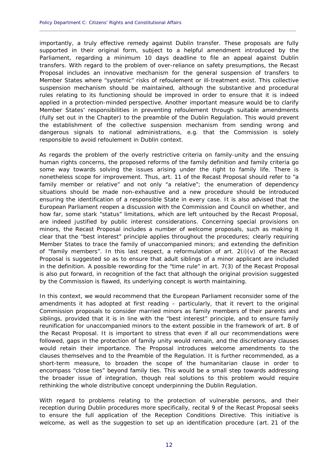importantly, a truly effective remedy against Dublin transfer. These proposals are fully supported in their original form, subject to a helpful amendment introduced by the Parliament, regarding a minimum 10 days deadline to file an appeal against Dublin transfers. With regard to the problem of over-reliance on safety presumptions, the Recast Proposal includes an innovative mechanism for the general suspension of transfers to Member States where "systemic" risks of refoulement or ill-treatment exist. This collective suspension mechanism should be maintained, although the substantive and procedural rules relating to its functioning should be improved in order to ensure that it is indeed applied in a protection-minded perspective. Another important measure would be to clarify Member States' responsibilities in preventing refoulement through suitable amendments (fully set out in the Chapter) to the preamble of the Dublin Regulation. This would prevent the establishment of the collective suspension mechanism from sending wrong and dangerous signals to national administrations, e.g. that the Commission is solely responsible to avoid refoulement in Dublin context.

**\_\_\_\_\_\_\_\_\_\_\_\_\_\_\_\_\_\_\_\_\_\_\_\_\_\_\_\_\_\_\_\_\_\_\_\_\_\_\_\_\_\_\_\_\_\_\_\_\_\_\_\_\_\_\_\_\_\_\_\_\_\_\_\_\_\_\_\_\_\_\_\_\_\_\_\_\_\_\_\_\_\_\_\_\_\_\_\_\_\_\_\_**

As regards the problem of the overly restrictive criteria on family-unity and the ensuing human rights concerns, the proposed reforms of the family definition and family criteria go some way towards solving the issues arising under the right to family life. There is nonetheless scope for improvement. Thus, art. 11 of the Recast Proposal should refer to "a family member or relative" and not only "a relative"; the enumeration of dependency situations should be made non-exhaustive and a new procedure should be introduced ensuring the identification of a responsible State in every case. It is also advised that the European Parliament reopen a discussion with the Commission and Council on whether, and how far, some stark "status" limitations, which are left untouched by the Recast Proposal, are indeed justified by public interest considerations. Concerning special provisions on minors, the Recast Proposal includes a number of welcome proposals, such as making it clear that the "best interest" principle applies throughout the procedures; clearly requiring Member States to trace the family of unaccompanied minors; and extending the definition of "family members". In this last respect, a reformulation of art.  $2(i)(v)$  of the Recast Proposal is suggested so as to ensure that adult siblings of a minor applicant are included in the definition. A possible rewording for the "time rule" in art. 7(3) of the Recast Proposal is also put forward, in recognition of the fact that although the original provision suggested by the Commission is flawed, its underlying concept is worth maintaining.

In this context, we would recommend that the European Parliament reconsider some of the amendments it has adopted at first reading – particularly, that it revert to the original Commission proposals to consider married minors as family members of their parents and siblings, provided that it is in line with the "best interest" principle, and to ensure family reunification for unaccompanied minors to the extent possible in the framework of art. 8 of the Recast Proposal. It is important to stress that even if all our recommendations were followed, gaps in the protection of family unity would remain, and the discretionary clauses would retain their importance. The Proposal introduces welcome amendments to the clauses themselves and to the Preamble of the Regulation. It is further recommended, as a short-term measure, to broaden the scope of the humanitarian clause in order to encompass "close ties" beyond family ties. This would be a small step towards addressing the broader issue of integration, though real solutions to this problem would require rethinking the whole distributive concept underpinning the Dublin Regulation.

With regard to problems relating to the protection of vulnerable persons, and their reception during Dublin procedures more specifically, recital 9 of the Recast Proposal seeks to ensure the full application of the Reception Conditions Directive. This initiative is welcome, as well as the suggestion to set up an identification procedure (art. 21 of the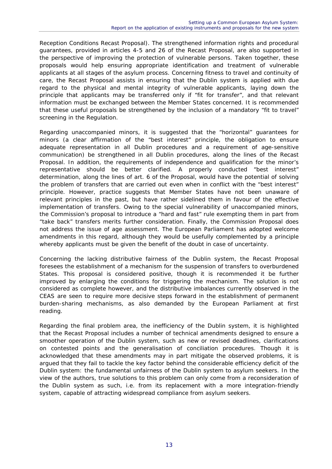Reception Conditions Recast Proposal). The strengthened information rights and procedural guarantees, provided in articles 4-5 and 26 of the Recast Proposal, are also supported in the perspective of improving the protection of vulnerable persons. Taken together, these proposals would help ensuring appropriate identification and treatment of vulnerable applicants at all stages of the asylum process. Concerning fitness to travel and continuity of care, the Recast Proposal assists in ensuring that the Dublin system is applied with due regard to the physical and mental integrity of vulnerable applicants, laying down the principle that applicants may be transferred only if "fit for transfer", and that relevant information must be exchanged between the Member States concerned. It is recommended that these useful proposals be strengthened by the inclusion of a mandatory "fit to travel" screening in the Regulation.

Regarding unaccompanied minors, it is suggested that the "horizontal" guarantees for minors (a clear affirmation of the "best interest" principle, the obligation to ensure adequate representation in all Dublin procedures and a requirement of age-sensitive communication) be strengthened in all Dublin procedures, along the lines of the Recast Proposal. In addition, the requirements of independence and qualification for the minor's representative should be better clarified. A properly conducted "best interest" determination, along the lines of art. 6 of the Proposal, would have the potential of solving the problem of transfers that are carried out even when in conflict with the "best interest" principle. However, practice suggests that Member States have not been unaware of relevant principles in the past, but have rather sidelined them in favour of the effective implementation of transfers. Owing to the special vulnerability of unaccompanied minors, the Commission's proposal to introduce a "hard and fast" rule exempting them in part from "take back" transfers merits further consideration. Finally, the Commission Proposal does not address the issue of age assessment. The European Parliament has adopted welcome amendments in this regard, although they would be usefully complemented by a principle whereby applicants must be given the benefit of the doubt in case of uncertainty.

Concerning the lacking distributive fairness of the Dublin system, the Recast Proposal foresees the establishment of a mechanism for the suspension of transfers to overburdened States. This proposal is considered positive, though it is recommended it be further improved by enlarging the conditions for triggering the mechanism. The solution is not considered as complete however, and the distributive imbalances currently observed in the CEAS are seen to require more decisive steps forward in the establishment of permanent burden-sharing mechanisms, as also demanded by the European Parliament at first reading.

Regarding the final problem area, the inefficiency of the Dublin system, it is highlighted that the Recast Proposal includes a number of technical amendments designed to ensure a smoother operation of the Dublin system, such as new or revised deadlines, clarifications on contested points and the generalisation of conciliation procedures. Though it is acknowledged that these amendments may in part mitigate the observed problems, it is argued that they fail to tackle the key factor behind the considerable efficiency deficit of the Dublin system: the fundamental unfairness of the Dublin system to asylum seekers. In the view of the authors, true solutions to this problem can only come from a reconsideration of the Dublin system as such, i.e. from its replacement with a more integration-friendly system, capable of attracting widespread compliance from asylum seekers.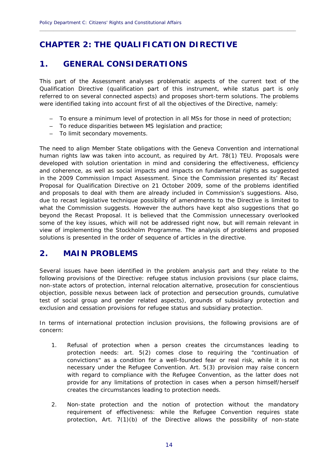### **CHAPTER 2: THE QUALIFICATION DIRECTIVE**

### **1. GENERAL CONSIDERATIONS**

This part of the Assessment analyses problematic aspects of the current text of the Qualification Directive (qualification part of this instrument, while status part is only referred to on several connected aspects) and proposes short-term solutions. The problems were identified taking into account first of all the objectives of the Directive, namely:

**\_\_\_\_\_\_\_\_\_\_\_\_\_\_\_\_\_\_\_\_\_\_\_\_\_\_\_\_\_\_\_\_\_\_\_\_\_\_\_\_\_\_\_\_\_\_\_\_\_\_\_\_\_\_\_\_\_\_\_\_\_\_\_\_\_\_\_\_\_\_\_\_\_\_\_\_\_\_\_\_\_\_\_\_\_\_\_\_\_\_\_\_**

- To ensure a minimum level of protection in all MSs for those in need of protection;
- To reduce disparities between MS legislation and practice;
- To limit secondary movements.

The need to align Member State obligations with the Geneva Convention and international human rights law was taken into account, as required by Art. 78(1) TEU. Proposals were developed with solution orientation in mind and considering the effectiveness, efficiency and coherence, as well as social impacts and impacts on fundamental rights as suggested in the 2009 Commission Impact Assessment. Since the Commission presented its' Recast Proposal for Qualification Directive on 21 October 2009, some of the problems identified and proposals to deal with them are already included in Commission's suggestions. Also, due to recast legislative technique possibility of amendments to the Directive is limited to what the Commission suggests. However the authors have kept also suggestions that go beyond the Recast Proposal. It is believed that the Commission unnecessary overlooked some of the key issues, which will not be addressed right now, but will remain relevant in view of implementing the Stockholm Programme. The analysis of problems and proposed solutions is presented in the order of sequence of articles in the directive.

### **2. MAIN PROBLEMS**

Several issues have been identified in the problem analysis part and they relate to the following provisions of the Directive: refugee status inclusion provisions (sur place claims, non-state actors of protection, internal relocation alternative, prosecution for conscientious objection, possible nexus between lack of protection and persecution grounds, cumulative test of social group and gender related aspects), grounds of subsidiary protection and exclusion and cessation provisions for refugee status and subsidiary protection.

In terms of international protection inclusion provisions, the following provisions are of concern:

- 1. Refusal of protection when a person creates the circumstances leading to protection needs: art. 5(2) comes close to requiring the "continuation of convictions" as a condition for a well-founded fear or real risk, while it is not necessary under the Refugee Convention. Art. 5(3) provision may raise concern with regard to compliance with the Refugee Convention, as the latter does not provide for any limitations of protection in cases when a person himself/herself creates the circumstances leading to protection needs.
- 2. Non-state protection and the notion of protection without the mandatory requirement of effectiveness: while the Refugee Convention requires state protection, Art. 7(1)(b) of the Directive allows the possibility of non-state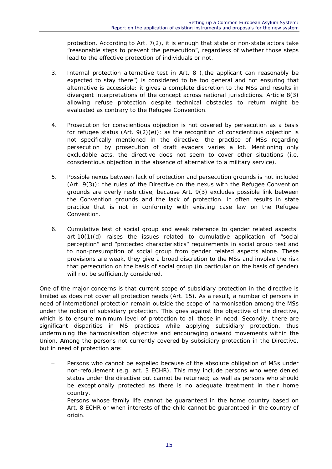protection. According to Art. 7(2), it is enough that state or non-state actors take "reasonable steps to prevent the persecution", regardless of whether those steps lead to the effective protection of individuals or not.

- 3. Internal protection alternative test in Art. 8  $\zeta$  the applicant can reasonably be expected to stay there") is considered to be too general and not ensuring that alternative is accessible: it gives a complete discretion to the MSs and results in divergent interpretations of the concept across national jurisdictions. Article 8(3) allowing refuse protection despite technical obstacles to return might be evaluated as contrary to the Refugee Convention.
- 4. Prosecution for conscientious objection is not covered by persecution as a basis for refugee status (Art.  $9(2)(e)$ ): as the recognition of conscientious objection is not specifically mentioned in the directive, the practice of MSs regarding persecution by prosecution of draft evaders varies a lot. Mentioning only excludable acts, the directive does not seem to cover other situations (i.e. conscientious objection in the absence of alternative to a military service).
- 5. Possible nexus between lack of protection and persecution grounds is not included (Art. 9(3)): the rules of the Directive on the nexus with the Refugee Convention grounds are overly restrictive, because Art. 9(3) excludes possible link between the Convention grounds and the lack of protection. It often results in state practice that is not in conformity with existing case law on the Refugee Convention.
- 6. Cumulative test of social group and weak reference to gender related aspects: art.10(1)(d) raises the issues related to cumulative application of "social perception" and "protected characteristics" requirements in social group test and to non-presumption of social group from gender related aspects alone. These provisions are weak, they give a broad discretion to the MSs and involve the risk that persecution on the basis of social group (in particular on the basis of gender) will not be sufficiently considered.

One of the major concerns is that current scope of subsidiary protection in the directive is limited as does not cover all protection needs (Art. 15). As a result, a number of persons in need of international protection remain outside the scope of harmonisation among the MSs under the notion of subsidiary protection. This goes against the objective of the directive, which is to ensure minimum level of protection to all those in need. Secondly, there are significant disparities in MS practices while applying subsidiary protection, thus undermining the harmonisation objective and encouraging onward movements within the Union. Among the persons not currently covered by subsidiary protection in the Directive, but in need of protection are:

- Persons who cannot be expelled because of the absolute obligation of MSs under non-refoulement (e.g. art. 3 ECHR). This may include persons who were denied status under the directive but cannot be returned; as well as persons who should be exceptionally protected as there is no adequate treatment in their home country.
- Persons whose family life cannot be guaranteed in the home country based on Art. 8 ECHR or when interests of the child cannot be guaranteed in the country of origin.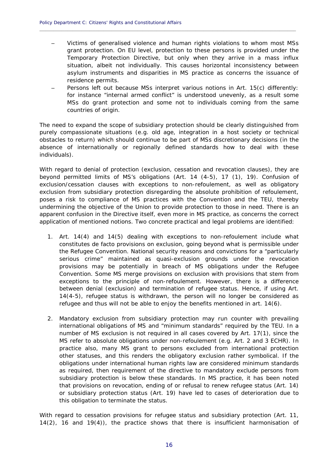– Victims of generalised violence and human rights violations to whom most MSs grant protection. On EU level, protection to these persons is provided under the Temporary Protection Directive, but only when they arrive in a mass influx situation, albeit not individually. This causes horizontal inconsistency between asylum instruments and disparities in MS practice as concerns the issuance of residence permits.

**\_\_\_\_\_\_\_\_\_\_\_\_\_\_\_\_\_\_\_\_\_\_\_\_\_\_\_\_\_\_\_\_\_\_\_\_\_\_\_\_\_\_\_\_\_\_\_\_\_\_\_\_\_\_\_\_\_\_\_\_\_\_\_\_\_\_\_\_\_\_\_\_\_\_\_\_\_\_\_\_\_\_\_\_\_\_\_\_\_\_\_\_**

– Persons left out because MSs interpret various notions in Art. 15(c) differently: for instance "internal armed conflict" is understood unevenly, as a result some MSs do grant protection and some not to individuals coming from the same countries of origin.

The need to expand the scope of subsidiary protection should be clearly distinguished from purely compassionate situations (e.g. old age, integration in a host society or technical obstacles to return) which should continue to be part of MSs discretionary decisions (in the absence of internationally or regionally defined standards how to deal with these individuals).

With regard to denial of protection (exclusion, cessation and revocation clauses), they are beyond permitted limits of MS's obligations (Art. 14 (4-5), 17 (1), 19). Confusion of exclusion/cessation clauses with exceptions to non-refoulement, as well as obligatory exclusion from subsidiary protection disregarding the absolute prohibition of refoulement, poses a risk to compliance of MS practices with the Convention and the TEU, thereby undermining the objective of the Union to provide protection to those in need. There is an apparent confusion in the Directive itself, even more in MS practice, as concerns the correct application of mentioned notions. Two concrete practical and legal problems are identified:

- 1. Art. 14(4) and 14(5) dealing with exceptions to non-refoulement include what constitutes de facto provisions on exclusion, going beyond what is permissible under the Refugee Convention. National security reasons and convictions for a "particularly serious crime" maintained as quasi-exclusion grounds under the revocation provisions may be potentially in breach of MS obligations under the Refugee Convention. Some MS merge provisions on exclusion with provisions that stem from exceptions to the principle of non-refoulement. However, there is a difference between denial (exclusion) and termination of refugee status. Hence, if using Art. 14(4-5), refugee status is withdrawn, the person will no longer be considered as refugee and thus will not be able to enjoy the benefits mentioned in art. 14(6).
- 2. Mandatory exclusion from subsidiary protection may run counter with prevailing international obligations of MS and "minimum standards" required by the TEU. In a number of MS exclusion is not required in all cases covered by Art. 17(1), since the MS refer to absolute obligations under non-refoulement (e.g. Art. 2 and 3 ECHR). In practice also, many MS grant to persons excluded from international protection other statuses, and this renders the obligatory exclusion rather symbolical. If the obligations under international human rights law are considered minimum standards as required, then requirement of the directive to mandatory exclude persons from subsidiary protection is below these standards. In MS practice, it has been noted that provisions on revocation, ending of or refusal to renew refugee status (Art. 14) or subsidiary protection status (Art. 19) have led to cases of deterioration due to this obligation to terminate the status.

With regard to cessation provisions for refugee status and subsidiary protection (Art. 11, 14(2), 16 and 19(4)), the practice shows that there is insufficient harmonisation of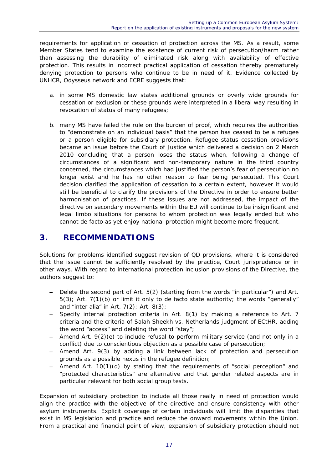requirements for application of cessation of protection across the MS. As a result, some Member States tend to examine the existence of current risk of persecution/harm rather than assessing the durability of eliminated risk along with availability of effective protection. This results in incorrect practical application of cessation thereby prematurely denying protection to persons who continue to be in need of it. Evidence collected by UNHCR, Odysseus network and ECRE suggests that:

- a. in some MS domestic law states additional grounds or overly wide grounds for cessation or exclusion or these grounds were interpreted in a liberal way resulting in revocation of status of many refugees;
- b. many MS have failed the rule on the burden of proof, which requires the authorities to "demonstrate on an individual basis" that the person has ceased to be a refugee or a person eligible for subsidiary protection. Refugee status cessation provisions became an issue before the Court of Justice which delivered a decision on 2 March 2010 concluding that a person loses the status when, following a change of circumstances of a significant and non-temporary nature in the third country concerned, the circumstances which had justified the person's fear of persecution no longer exist and he has no other reason to fear being persecuted. This Court decision clarified the application of cessation to a certain extent, however it would still be beneficial to clarify the provisions of the Directive in order to ensure better harmonisation of practices. If these issues are not addressed, the impact of the directive on secondary movements within the EU will continue to be insignificant and legal limbo situations for persons to whom protection was legally ended but who cannot de facto as yet enjoy national protection might become more frequent.

### **3. RECOMMENDATIONS**

Solutions for problems identified suggest revision of QD provisions, where it is considered that the issue cannot be sufficiently resolved by the practice, Court jurisprudence or in other ways. With regard to international protection inclusion provisions of the Directive, the authors suggest to:

- Delete the second part of Art. 5(2) (starting from the words "in particular") and Art. 5(3); Art. 7(1)(b) or limit it only to de facto state authority; the words "generally" and "inter alia" in Art.  $7(2)$ ; Art.  $8(3)$ ;
- Specify internal protection criteria in Art. 8(1) by making a reference to Art. 7 criteria and the criteria of Salah Sheekh vs. Netherlands judgment of ECtHR, adding the word "access" and deleting the word "stay";
- Amend Art. 9(2)(e) to include refusal to perform military service (and not only in a conflict) due to conscientious objection as a possible case of persecution;
- Amend Art. 9(3) by adding a link between lack of protection and persecution grounds as a possible nexus in the refugee definition;
- Amend Art. 10(1)(d) by stating that the requirements of "social perception" and "protected characteristics" are alternative and that gender related aspects are in particular relevant for both social group tests.

Expansion of subsidiary protection to include all those really in need of protection would align the practice with the objective of the directive and ensure consistency with other asylum instruments. Explicit coverage of certain individuals will limit the disparities that exist in MS legislation and practice and reduce the onward movements within the Union. From a practical and financial point of view, expansion of subsidiary protection should not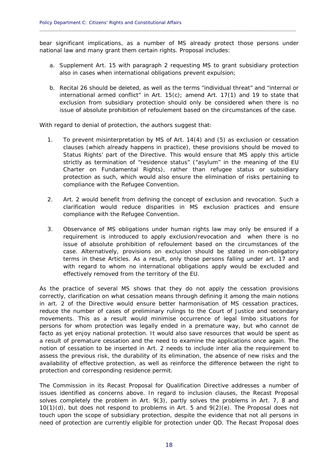bear significant implications, as a number of MS already protect those persons under national law and many grant them certain rights. Proposal includes:

**\_\_\_\_\_\_\_\_\_\_\_\_\_\_\_\_\_\_\_\_\_\_\_\_\_\_\_\_\_\_\_\_\_\_\_\_\_\_\_\_\_\_\_\_\_\_\_\_\_\_\_\_\_\_\_\_\_\_\_\_\_\_\_\_\_\_\_\_\_\_\_\_\_\_\_\_\_\_\_\_\_\_\_\_\_\_\_\_\_\_\_\_**

- a. Supplement Art. 15 with paragraph 2 requesting MS to grant subsidiary protection also in cases when international obligations prevent expulsion;
- b. Recital 26 should be deleted, as well as the terms "individual threat" and "internal or international armed conflict" in Art. 15(c); amend Art. 17(1) and 19 to state that exclusion from subsidiary protection should only be considered when there is no issue of absolute prohibition of refoulement based on the circumstances of the case.

With regard to denial of protection, the authors suggest that:

- 1. To prevent misinterpretation by MS of Art. 14(4) and (5) as exclusion or cessation clauses (which already happens in practice), these provisions should be moved to Status Rights' part of the Directive. This would ensure that MS apply this article strictly as termination of "residence status" ("asylum" in the meaning of the EU Charter on Fundamental Rights), rather than refugee status or subsidiary protection as such, which would also ensure the elimination of risks pertaining to compliance with the Refugee Convention.
- 2. Art. 2 would benefit from defining the concept of exclusion and revocation. Such a clarification would reduce disparities in MS exclusion practices and ensure compliance with the Refugee Convention.
- 3. Observance of MS obligations under human rights law may only be ensured if a requirement is introduced to apply exclusion/revocation and when there is no issue of absolute prohibition of refoulement based on the circumstances of the case. Alternatively, provisions on exclusion should be stated in non-obligatory terms in these Articles. As a result, only those persons falling under art. 17 and with regard to whom no international obligations apply would be excluded and effectively removed from the territory of the EU.

As the practice of several MS shows that they do not apply the cessation provisions correctly, clarification on what cessation means through defining it among the main notions in art. 2 of the Directive would ensure better harmonisation of MS cessation practices, reduce the number of cases of preliminary rulings to the Court of Justice and secondary movements. This as a result would minimise occurrence of legal limbo situations for persons for whom protection was legally ended in a premature way, but who cannot de facto as yet enjoy national protection. It would also save resources that would be spent as a result of premature cessation and the need to examine the applications once again. The notion of cessation to be inserted in Art. 2 needs to include inter alia the requirement to assess the previous risk, the durability of its elimination, the absence of new risks and the availability of effective protection, as well as reinforce the difference between the right to protection and corresponding residence permit.

The Commission in its Recast Proposal for Qualification Directive addresses a number of issues identified as concerns above. In regard to inclusion clauses, the Recast Proposal solves completely the problem in Art. 9(3), partly solves the problems in Art. 7, 8 and 10(1)(d), but does not respond to problems in Art. 5 and 9(2)(e). The Proposal does not touch upon the scope of subsidiary protection, despite the evidence that not all persons in need of protection are currently eligible for protection under QD. The Recast Proposal does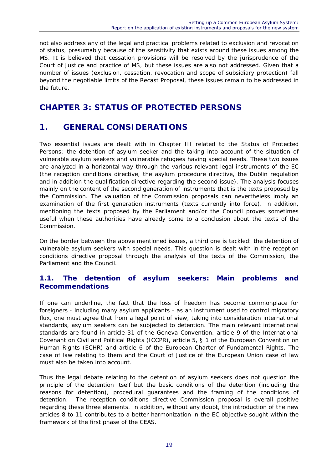not also address any of the legal and practical problems related to exclusion and revocation of status, presumably because of the sensitivity that exists around these issues among the MS. It is believed that cessation provisions will be resolved by the jurisprudence of the Court of Justice and practice of MS, but these issues are also not addressed. Given that a number of issues (exclusion, cessation, revocation and scope of subsidiary protection) fall beyond the negotiable limits of the Recast Proposal, these issues remain to be addressed in the future.

### **CHAPTER 3: STATUS OF PROTECTED PERSONS**

### **1. GENERAL CONSIDERATIONS**

Two essential issues are dealt with in Chapter III related to the Status of Protected Persons: the detention of asylum seeker and the taking into account of the situation of vulnerable asylum seekers and vulnerable refugees having special needs. These two issues are analyzed in a horizontal way through the various relevant legal instruments of the EC (the reception conditions directive, the asylum procedure directive, the Dublin regulation and in addition the qualification directive regarding the second issue). The analysis focuses mainly on the content of the second generation of instruments that is the texts proposed by the Commission. The valuation of the Commission proposals can nevertheless imply an examination of the first generation instruments (texts currently into force). In addition, mentioning the texts proposed by the Parliament and/or the Council proves sometimes useful when these authorities have already come to a conclusion about the texts of the Commission.

On the border between the above mentioned issues, a third one is tackled: the detention of vulnerable asylum seekers with special needs. This question is dealt with in the reception conditions directive proposal through the analysis of the texts of the Commission, the Parliament and the Council.

#### **1.1. The detention of asylum seekers: Main problems and Recommendations**

If one can underline, the fact that the loss of freedom has become commonplace for foreigners - including many asylum applicants - as an instrument used to control migratory flux, one must agree that from a legal point of view, taking into consideration international standards, asylum seekers can be subjected to detention. The main relevant international standards are found in article 31 of the Geneva Convention, article 9 of the International Covenant on Civil and Political Rights (ICCPR), article 5, § 1 of the European Convention on Human Rights (ECHR) and article 6 of the European Charter of Fundamental Rights. The case of law relating to them and the Court of Justice of the European Union case of law must also be taken into account.

Thus the legal debate relating to the detention of asylum seekers does not question the principle of the detention itself but the basic conditions of the detention (including the reasons for detention), procedural guarantees and the framing of the conditions of detention. The reception conditions directive Commission proposal is overall positive regarding these three elements. In addition, without any doubt, the introduction of the new articles 8 to 11 contributes to a better harmonization in the EC objective sought within the framework of the first phase of the CEAS.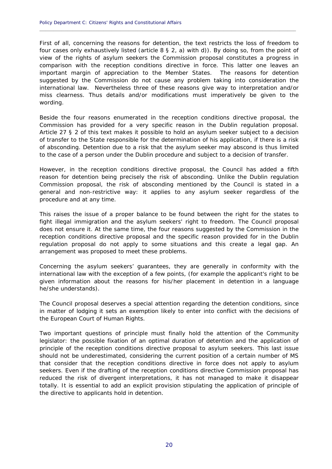First of all, concerning the reasons for detention, the text restricts the loss of freedom to four cases only exhaustively listed (article 8 § 2, a) with d)). By doing so, from the point of view of the rights of asylum seekers the Commission proposal constitutes a progress in comparison with the reception conditions directive in force. This latter one leaves an important margin of appreciation to the Member States. The reasons for detention suggested by the Commission do not cause any problem taking into consideration the international law. Nevertheless three of these reasons give way to interpretation and/or miss clearness. Thus details and/or modifications must imperatively be given to the wording.

**\_\_\_\_\_\_\_\_\_\_\_\_\_\_\_\_\_\_\_\_\_\_\_\_\_\_\_\_\_\_\_\_\_\_\_\_\_\_\_\_\_\_\_\_\_\_\_\_\_\_\_\_\_\_\_\_\_\_\_\_\_\_\_\_\_\_\_\_\_\_\_\_\_\_\_\_\_\_\_\_\_\_\_\_\_\_\_\_\_\_\_\_**

Beside the four reasons enumerated in the reception conditions directive proposal, the Commission has provided for a very specific reason in the Dublin regulation proposal. Article 27 § 2 of this text makes it possible to hold an asylum seeker subject to a decision of transfer to the State responsible for the determination of his application, if there is a risk of absconding. Detention due to a risk that the asylum seeker may abscond is thus limited to the case of a person under the Dublin procedure and subject to a decision of transfer.

However, in the reception conditions directive proposal, the Council has added a fifth reason for detention being precisely the risk of absconding. Unlike the Dublin regulation Commission proposal, the risk of absconding mentioned by the Council is stated in a general and non-restrictive way: it applies to any asylum seeker regardless of the procedure and at any time.

This raises the issue of a proper balance to be found between the right for the states to fight illegal immigration and the asylum seekers' right to freedom. The Council proposal does not ensure it. At the same time, the four reasons suggested by the Commission in the reception conditions directive proposal and the specific reason provided for in the Dublin regulation proposal do not apply to some situations and this create a legal gap. An arrangement was proposed to meet these problems.

Concerning the asylum seekers' guarantees, they are generally in conformity with the international law with the exception of a few points, (for example the applicant's right to be given information about the reasons for his/her placement in detention in a language he/she understands).

The Council proposal deserves a special attention regarding the detention conditions, since in matter of lodging it sets an exemption likely to enter into conflict with the decisions of the European Court of Human Rights.

Two important questions of principle must finally hold the attention of the Community legislator: the possible fixation of an optimal duration of detention and the application of principle of the reception conditions directive proposal to asylum seekers. This last issue should not be underestimated, considering the current position of a certain number of MS that consider that the reception conditions directive in force does not apply to asylum seekers. Even if the drafting of the reception conditions directive Commission proposal has reduced the risk of divergent interpretations, it has not managed to make it disappear totally. It is essential to add an explicit provision stipulating the application of principle of the directive to applicants hold in detention.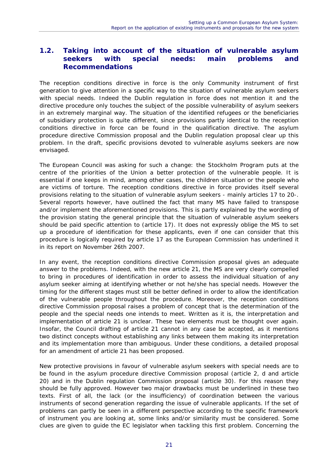#### **1.2. Taking into account of the situation of vulnerable asylum seekers with special needs: main problems and Recommendations**

The reception conditions directive in force is the only Community instrument of first generation to give attention in a specific way to the situation of vulnerable asylum seekers with special needs. Indeed the Dublin regulation in force does not mention it and the directive procedure only touches the subject of the possible vulnerability of asylum seekers in an extremely marginal way. The situation of the identified refugees or the beneficiaries of subsidiary protection is quite different, since provisions partly identical to the reception conditions directive in force can be found in the qualification directive. The asylum procedure directive Commission proposal and the Dublin regulation proposal clear up this problem. In the draft, specific provisions devoted to vulnerable asylums seekers are now envisaged.

The European Council was asking for such a change: the Stockholm Program puts at the centre of the priorities of the Union a better protection of the vulnerable people. It is essential if one keeps in mind, among other cases, the children situation or the people who are victims of torture. The reception conditions directive in force provides itself several provisions relating to the situation of vulnerable asylum seekers - mainly articles 17 to 20-. Several reports however, have outlined the fact that many MS have failed to transpose and/or implement the aforementioned provisions. This is partly explained by the wording of the provision stating the general principle that the situation of vulnerable asylum seekers should be paid specific attention to (article 17). It does not expressly oblige the MS to set up a procedure of identification for these applicants, even if one can consider that this procedure is logically required by article 17 as the European Commission has underlined it in its report on November 26th 2007.

In any event, the reception conditions directive Commission proposal gives an adequate answer to the problems. Indeed, with the new article 21, the MS are very clearly compelled to bring in procedures of identification in order to assess the individual situation of any asylum seeker aiming at identifying whether or not he/she has special needs. However the timing for the different stages must still be better defined in order to allow the identification of the vulnerable people throughout the procedure. Moreover, the reception conditions directive Commission proposal raises a problem of concept that is the determination of the people and the special needs one intends to meet. Written as it is, the interpretation and implementation of article 21 is unclear. These two elements must be thought over again. Insofar, the Council drafting of article 21 cannot in any case be accepted, as it mentions two distinct concepts without establishing any links between them making its interpretation and its implementation more than ambiguous. Under these conditions, a detailed proposal for an amendment of article 21 has been proposed.

New protective provisions in favour of vulnerable asylum seekers with special needs are to be found in the asylum procedure directive Commission proposal (article 2, d and article 20) and in the Dublin regulation Commission proposal (article 30). For this reason they should be fully approved. However two major drawbacks must be underlined in these two texts. First of all, the lack (or the insufficiency) of coordination between the various instruments of second generation regarding the issue of vulnerable applicants. If the set of problems can partly be seen in a different perspective according to the specific framework of instrument you are looking at, some links and/or similarity must be considered. Some clues are given to guide the EC legislator when tackling this first problem. Concerning the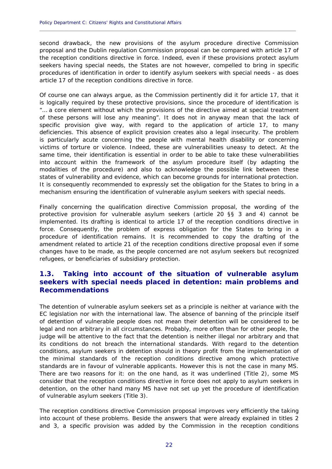second drawback, the new provisions of the asylum procedure directive Commission proposal and the Dublin regulation Commission proposal can be compared with article 17 of the reception conditions directive in force. Indeed, even if these provisions protect asylum seekers having special needs, the States are not however, compelled to bring in specific procedures of identification in order to identify asylum seekers with special needs - as does article 17 of the reception conditions directive in force.

**\_\_\_\_\_\_\_\_\_\_\_\_\_\_\_\_\_\_\_\_\_\_\_\_\_\_\_\_\_\_\_\_\_\_\_\_\_\_\_\_\_\_\_\_\_\_\_\_\_\_\_\_\_\_\_\_\_\_\_\_\_\_\_\_\_\_\_\_\_\_\_\_\_\_\_\_\_\_\_\_\_\_\_\_\_\_\_\_\_\_\_\_**

Of course one can always argue, as the Commission pertinently did it for article 17, that it is logically required by these protective provisions, since the procedure of identification is "… a core element without which the provisions of the directive aimed at special treatment of these persons will lose any meaning". It does not in anyway mean that the lack of specific provision give way, with regard to the application of article 17, to many deficiencies. This absence of explicit provision creates also a legal insecurity. The problem is particularly acute concerning the people with mental health disability or concerning victims of torture or violence. Indeed, these are vulnerabilities uneasy to detect. At the same time, their identification is essential in order to be able to take these vulnerabilities into account within the framework of the asylum procedure itself (by adapting the modalities of the procedure) and also to acknowledge the possible link between these states of vulnerability and evidence, which can become grounds for international protection. It is consequently recommended to expressly set the obligation for the States to bring in a mechanism ensuring the identification of vulnerable asylum seekers with special needs.

Finally concerning the qualification directive Commission proposal, the wording of the protective provision for vulnerable asylum seekers (article 20 §§ 3 and 4) cannot be implemented. Its drafting is identical to article 17 of the reception conditions directive in force. Consequently, the problem of express obligation for the States to bring in a procedure of identification remains. It is recommended to copy the drafting of the amendment related to article 21 of the reception conditions directive proposal even if some changes have to be made, as the people concerned are not asylum seekers but recognized refugees, or beneficiaries of subsidiary protection.

#### **1.3. Taking into account of the situation of vulnerable asylum seekers with special needs placed in detention: main problems and Recommendations**

The detention of vulnerable asylum seekers set as a principle is neither at variance with the EC legislation nor with the international law. The absence of banning of the principle itself of detention of vulnerable people does not mean their detention will be considered to be legal and non arbitrary in all circumstances. Probably, more often than for other people, the judge will be attentive to the fact that the detention is neither illegal nor arbitrary and that its conditions do not breach the international standards. With regard to the detention conditions, asylum seekers in detention should in theory profit from the implementation of the minimal standards of the reception conditions directive among which protective standards are in favour of vulnerable applicants. However this is not the case in many MS. There are two reasons for it: on the one hand, as it was underlined (Title 2), some MS consider that the reception conditions directive in force does not apply to asylum seekers in detention, on the other hand many MS have not set up yet the procedure of identification of vulnerable asylum seekers (Title 3).

The reception conditions directive Commission proposal improves very efficiently the taking into account of these problems. Beside the answers that were already explained in titles 2 and 3, a specific provision was added by the Commission in the reception conditions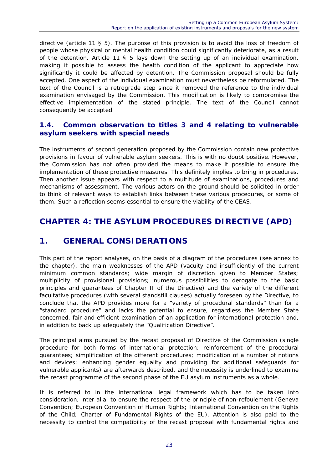directive (article 11 § 5). The purpose of this provision is to avoid the loss of freedom of people whose physical or mental health condition could significantly deteriorate, as a result of the detention. Article 11 § 5 lays down the setting up of an individual examination, making it possible to assess the health condition of the applicant to appreciate how significantly it could be affected by detention. The Commission proposal should be fully accepted. One aspect of the individual examination must nevertheless be reformulated. The text of the Council is a retrograde step since it removed the reference to the individual examination envisaged by the Commission. This modification is likely to compromise the effective implementation of the stated principle. The text of the Council cannot consequently be accepted.

#### **1.4. Common observation to titles 3 and 4 relating to vulnerable asylum seekers with special needs**

The instruments of second generation proposed by the Commission contain new protective provisions in favour of vulnerable asylum seekers. This is with no doubt positive. However, the Commission has not often provided the means to make it possible to ensure the implementation of these protective measures. This definitely implies to bring in procedures. Then another issue appears with respect to a multitude of examinations, procedures and mechanisms of assessment. The various actors on the ground should be solicited in order to think of relevant ways to establish links between these various procedures, or some of them. Such a reflection seems essential to ensure the viability of the CEAS.

### **CHAPTER 4: THE ASYLUM PROCEDURES DIRECTIVE (APD)**

### **1. GENERAL CONSIDERATIONS**

This part of the report analyses, on the basis of a diagram of the procedures (see annex to the chapter), the main weaknesses of the APD (vacuity and insufficiently of the current minimum common standards; wide margin of discretion given to Member States; multiplicity of provisional provisions; numerous possibilities to derogate to the basic principles and guarantees of Chapter II of the Directive) and the variety of the different facultative procedures (with several standstill clauses) actually foreseen by the Directive, to conclude that the APD provides more for a "variety of procedural standards" than for a "standard procedure" and lacks the potential to ensure, regardless the Member State concerned, fair and efficient examination of an application for international protection and, in addition to back up adequately the "Qualification Directive".

The principal aims pursued by the recast proposal of Directive of the Commission (single procedure for both forms of international protection; reinforcement of the procedural guarantees; simplification of the different procedures; modification of a number of notions and devices; enhancing gender equality and providing for additional safeguards for vulnerable applicants) are afterwards described, and the necessity is underlined to examine the recast programme of the second phase of the EU asylum instruments as a whole.

It is referred to in the international legal framework which has to be taken into consideration, inter alia, to ensure the respect of the principle of non-refoulement (Geneva Convention; European Convention of Human Rights; International Convention on the Rights of the Child; Charter of Fundamental Rights of the EU). Attention is also paid to the necessity to control the compatibility of the recast proposal with fundamental rights and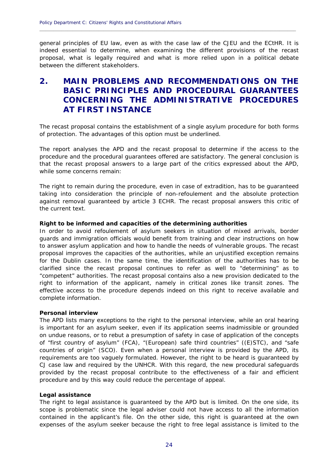general principles of EU law, even as with the case law of the CJEU and the ECtHR. It is indeed essential to determine, when examining the different provisions of the recast proposal, what is legally required and what is more relied upon in a political debate between the different stakeholders.

**\_\_\_\_\_\_\_\_\_\_\_\_\_\_\_\_\_\_\_\_\_\_\_\_\_\_\_\_\_\_\_\_\_\_\_\_\_\_\_\_\_\_\_\_\_\_\_\_\_\_\_\_\_\_\_\_\_\_\_\_\_\_\_\_\_\_\_\_\_\_\_\_\_\_\_\_\_\_\_\_\_\_\_\_\_\_\_\_\_\_\_\_**

### **2. MAIN PROBLEMS AND RECOMMENDATIONS ON THE BASIC PRINCIPLES AND PROCEDURAL GUARANTEES CONCERNING THE ADMINISTRATIVE PROCEDURES AT FIRST INSTANCE**

The recast proposal contains the establishment of a single asylum procedure for both forms of protection. The advantages of this option must be underlined.

The report analyses the APD and the recast proposal to determine if the access to the procedure and the procedural guarantees offered are satisfactory. The general conclusion is that the recast proposal answers to a large part of the critics expressed about the APD, while some concerns remain:

The right to remain during the procedure, even in case of extradition, has to be guaranteed taking into consideration the principle of non-refoulement and the absolute protection against removal guaranteed by article 3 ECHR. The recast proposal answers this critic of the current text.

#### **Right to be informed and capacities of the determining authorities**

In order to avoid refoulement of asylum seekers in situation of mixed arrivals, border guards and immigration officials would benefit from training and clear instructions on how to answer asylum application and how to handle the needs of vulnerable groups. The recast proposal improves the capacities of the authorities, while an unjustified exception remains for the Dublin cases. In the same time, the identification of the authorities has to be clarified since the recast proposal continues to refer as well to "determining" as to "competent" authorities. The recast proposal contains also a new provision dedicated to the right to information of the applicant, namely in critical zones like transit zones. The effective access to the procedure depends indeed on this right to receive available and complete information.

#### **Personal interview**

The APD lists many exceptions to the right to the personal interview, while an oral hearing is important for an asylum seeker, even if its application seems inadmissible or grounded on undue reasons, or to rebut a presumption of safety in case of application of the concepts of "first country of asylum" (FCA), "(European) safe third countries" ((E)STC), and "safe countries of origin" (SCO). Even when a personal interview is provided by the APD, its requirements are too vaguely formulated. However, the right to be heard is guaranteed by CJ case law and required by the UNHCR. With this regard, the new procedural safeguards provided by the recast proposal contribute to the effectiveness of a fair and efficient procedure and by this way could reduce the percentage of appeal.

#### **Legal assistance**

The right to legal assistance is guaranteed by the APD but is limited. On the one side, its scope is problematic since the legal adviser could not have access to all the information contained in the applicant's file. On the other side, this right is guaranteed at the own expenses of the asylum seeker because the right to free legal assistance is limited to the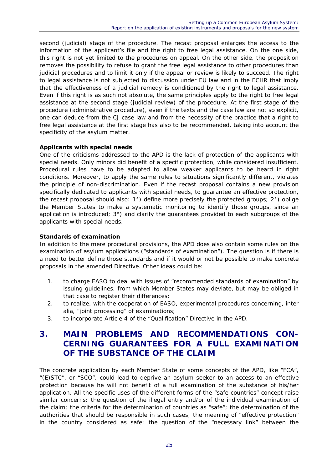second (judicial) stage of the procedure. The recast proposal enlarges the access to the information of the applicant's file and the right to free legal assistance. On the one side, this right is not yet limited to the procedures on appeal. On the other side, the proposition removes the possibility to refuse to grant the free legal assistance to other procedures than judicial procedures and to limit it only if the appeal or review is likely to succeed. The right to legal assistance is not subjected to discussion under EU law and in the ECHR that imply that the effectiveness of a judicial remedy is conditioned by the right to legal assistance. Even if this right is as such not absolute, the same principles apply to the right to free legal assistance at the second stage (judicial review) of the procedure. At the first stage of the procedure (administrative procedure), even if the texts and the case law are not so explicit, one can deduce from the CJ case law and from the necessity of the practice that a right to free legal assistance at the first stage has also to be recommended, taking into account the specificity of the asylum matter.

#### **Applicants with special needs**

One of the criticisms addressed to the APD is the lack of protection of the applicants with special needs. Only minors did benefit of a specific protection, while considered insufficient. Procedural rules have to be adapted to allow weaker applicants to be heard in right conditions. Moreover, to apply the same rules to situations significantly different, violates the principle of non-discrimination. Even if the recast proposal contains a new provision specifically dedicated to applicants with special needs, to guarantee an effective protection, the recast proposal should also: 1°) define more precisely the protected groups; 2°) oblige the Member States to make a systematic monitoring to identify those groups, since an application is introduced; 3°) and clarify the guarantees provided to each subgroups of the applicants with special needs.

#### **Standards of examination**

In addition to the mere procedural provisions, the APD does also contain some rules on the examination of asylum applications ("standards of examination"). The question is if there is a need to better define those standards and if it would or not be possible to make concrete proposals in the amended Directive. Other ideas could be:

- 1. to charge EASO to deal with issues of "recommended standards of examination" by issuing guidelines, from which Member States may deviate, but may be obliged in that case to register their differences;
- 2. to realize, with the cooperation of EASO, experimental procedures concerning, inter alia, "joint processing" of examinations;
- 3. to incorporate Article 4 of the "Qualification" Directive in the APD.

### **3. MAIN PROBLEMS AND RECOMMENDATIONS CON-CERNING GUARANTEES FOR A FULL EXAMINATION OF THE SUBSTANCE OF THE CLAIM**

The concrete application by each Member State of some concepts of the APD, like "FCA", "(E)STC", or "SCO", could lead to deprive an asylum seeker to an access to an effective protection because he will not benefit of a full examination of the substance of his/her application. All the specific uses of the different forms of the "safe countries" concept raise similar concerns: the question of the illegal entry and/or of the individual examination of the claim; the criteria for the determination of countries as "safe"; the determination of the authorities that should be responsible in such cases; the meaning of "effective protection" in the country considered as safe; the question of the "necessary link" between the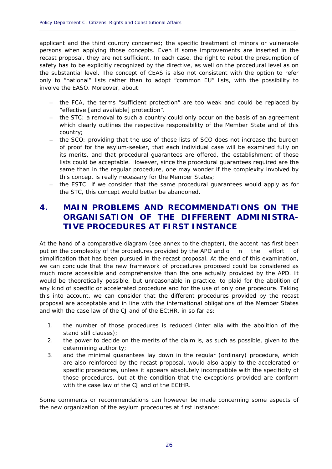applicant and the third country concerned; the specific treatment of minors or vulnerable persons when applying those concepts. Even if some improvements are inserted in the recast proposal, they are not sufficient. In each case, the right to rebut the presumption of safety has to be explicitly recognized by the directive, as well on the procedural level as on the substantial level. The concept of CEAS is also not consistent with the option to refer only to "national" lists rather than to adopt "common EU" lists, with the possibility to involve the EASO. Moreover, about:

**\_\_\_\_\_\_\_\_\_\_\_\_\_\_\_\_\_\_\_\_\_\_\_\_\_\_\_\_\_\_\_\_\_\_\_\_\_\_\_\_\_\_\_\_\_\_\_\_\_\_\_\_\_\_\_\_\_\_\_\_\_\_\_\_\_\_\_\_\_\_\_\_\_\_\_\_\_\_\_\_\_\_\_\_\_\_\_\_\_\_\_\_**

- the FCA, the terms "sufficient protection" are too weak and could be replaced by "effective [and available] protection".
- the STC: a removal to such a country could only occur on the basis of an agreement which clearly outlines the respective responsibility of the Member State and of this country;
- the SCO: providing that the use of those lists of SCO does not increase the burden of proof for the asylum-seeker, that each individual case will be examined fully on its merits, and that procedural guarantees are offered, the establishment of those lists could be acceptable. However, since the procedural guarantees required are the same than in the regular procedure, one may wonder if the complexity involved by this concept is really necessary for the Member States;
- the ESTC: if we consider that the same procedural guarantees would apply as for the STC, this concept would better be abandoned.

### **4. MAIN PROBLEMS AND RECOMMENDATIONS ON THE ORGANISATION OF THE DIFFERENT ADMINISTRA-TIVE PROCEDURES AT FIRST INSTANCE**

At the hand of a comparative diagram (see annex to the chapter), the accent has first been put on the complexity of the procedures provided by the APD and o n the effort of simplification that has been pursued in the recast proposal. At the end of this examination, we can conclude that the new framework of procedures proposed could be considered as much more accessible and comprehensive than the one actually provided by the APD. It would be theoretically possible, but unreasonable in practice, to plaid for the abolition of any kind of specific or accelerated procedure and for the use of only one procedure. Taking this into account, we can consider that the different procedures provided by the recast proposal are acceptable and in line with the international obligations of the Member States and with the case law of the CJ and of the ECtHR, in so far as:

- 1. the number of those procedures is reduced (inter alia with the abolition of the stand still clauses);
- 2. the power to decide on the merits of the claim is, as such as possible, given to the determining authority;
- 3. and the minimal guarantees lay down in the regular (ordinary) procedure, which are also reinforced by the recast proposal, would also apply to the accelerated or specific procedures, unless it appears absolutely incompatible with the specificity of those procedures, but at the condition that the exceptions provided are conform with the case law of the CJ and of the ECtHR.

Some comments or recommendations can however be made concerning some aspects of the new organization of the asylum procedures at first instance: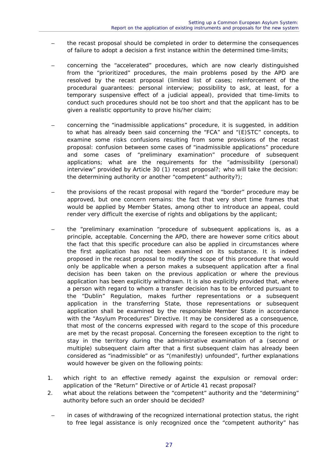- the recast proposal should be completed in order to determine the consequences of failure to adopt a decision a first instance within the determined time-limits;
- concerning the "accelerated" procedures, which are now clearly distinguished from the "prioritized" procedures, the main problems posed by the APD are resolved by the recast proposal (limited list of cases; reinforcement of the procedural guarantees: personal interview; possibility to ask, at least, for a temporary suspensive effect of a judicial appeal), provided that time-limits to conduct such procedures should not be too short and that the applicant has to be given a realistic opportunity to prove his/her claim;
- concerning the "inadmissible applications" procedure, it is suggested, in addition to what has already been said concerning the "FCA" and "(E)STC" concepts, to examine some risks confusions resulting from some provisions of the recast proposal: confusion between some cases of "inadmissible applications" procedure and some cases of "preliminary examination" procedure of subsequent applications; what are the requirements for the "admissibility (personal) interview" provided by Article 30 (1) recast proposal?; who will take the decision: the determining authority or another "competent" authority?);
- the provisions of the recast proposal with regard the "border" procedure may be approved, but one concern remains: the fact that very short time frames that would be applied by Member States, among other to introduce an appeal, could render very difficult the exercise of rights and obligations by the applicant;
- the "preliminary examination "procedure of subsequent applications is, as a principle, acceptable. Concerning the APD, there are however some critics about the fact that this specific procedure can also be applied in circumstances where the first application has not been examined on its substance. It is indeed proposed in the recast proposal to modify the scope of this procedure that would only be applicable when a person makes a subsequent application after a final decision has been taken on the previous application or where the previous application has been explicitly withdrawn. It is also explicitly provided that, where a person with regard to whom a transfer decision has to be enforced pursuant to the "Dublin" Regulation, makes further representations or a subsequent application in the transferring State, those representations or subsequent application shall be examined by the responsible Member State in accordance with the "Asylum Procedures" Directive. It may be considered as a consequence, that most of the concerns expressed with regard to the scope of this procedure are met by the recast proposal. Concerning the foreseen exception to the right to stay in the territory during the administrative examination of a (second or multiple) subsequent claim after that a first subsequent claim has already been considered as "inadmissible" or as "(manifestly) unfounded", further explanations would however be given on the following points:
- 1. which right to an effective remedy against the expulsion or removal order: application of the "Return" Directive or of Article 41 recast proposal?
- 2. what about the relations between the "competent" authority and the "determining" authority before such an order should be decided?
- in cases of withdrawing of the recognized international protection status, the right to free legal assistance is only recognized once the "competent authority" has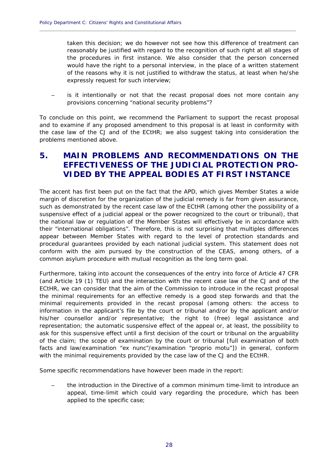taken this decision; we do however not see how this difference of treatment can reasonably be justified with regard to the recognition of such right at all stages of the procedures in first instance. We also consider that the person concerned would have the right to a personal interview, in the place of a written statement of the reasons why it is not justified to withdraw the status, at least when he/she expressly request for such interview;

is it intentionally or not that the recast proposal does not more contain any provisions concerning "national security problems"?

**\_\_\_\_\_\_\_\_\_\_\_\_\_\_\_\_\_\_\_\_\_\_\_\_\_\_\_\_\_\_\_\_\_\_\_\_\_\_\_\_\_\_\_\_\_\_\_\_\_\_\_\_\_\_\_\_\_\_\_\_\_\_\_\_\_\_\_\_\_\_\_\_\_\_\_\_\_\_\_\_\_\_\_\_\_\_\_\_\_\_\_\_**

To conclude on this point, we recommend the Parliament to support the recast proposal and to examine if any proposed amendment to this proposal is at least in conformity with the case law of the CJ and of the ECtHR; we also suggest taking into consideration the problems mentioned above.

### **5. MAIN PROBLEMS AND RECOMMENDATIONS ON THE EFFECTIVENESS OF THE JUDICIAL PROTECTION PRO-VIDED BY THE APPEAL BODIES AT FIRST INSTANCE**

The accent has first been put on the fact that the APD, which gives Member States a wide margin of discretion for the organization of the judicial remedy is far from given assurance, such as demonstrated by the recent case law of the ECtHR (among other the possibility of a suspensive effect of a judicial appeal or the power recognized to the court or tribunal), that the national law or regulation of the Member States will effectively be in accordance with their "international obligations". Therefore, this is not surprising that multiples differences appear between Member States with regard to the level of protection standards and procedural guarantees provided by each national judicial system. This statement does not conform with the aim pursued by the construction of the CEAS, among others, of a common asylum procedure with mutual recognition as the long term goal.

Furthermore, taking into account the consequences of the entry into force of Article 47 CFR (and Article 19 (1) TEU) and the interaction with the recent case law of the CJ and of the ECtHR, we can consider that the aim of the Commission to introduce in the recast proposal the minimal requirements for an effective remedy is a good step forwards and that the minimal requirements provided in the recast proposal (among others: the access to information in the applicant's file by the court or tribunal and/or by the applicant and/or his/her counsellor and/or representative; the right to (free) legal assistance and representation; the automatic suspensive effect of the appeal or, at least, the possibility to ask for this suspensive effect until a first decision of the court or tribunal on the arguability of the claim; the scope of examination by the court or tribunal [full examination of both facts and law/examination "ex nunc"/examination "proprio motu"]) in general, conform with the minimal requirements provided by the case law of the CJ and the ECtHR.

Some specific recommendations have however been made in the report:

– the introduction in the Directive of a common minimum time-limit to introduce an appeal, time-limit which could vary regarding the procedure, which has been applied to the specific case;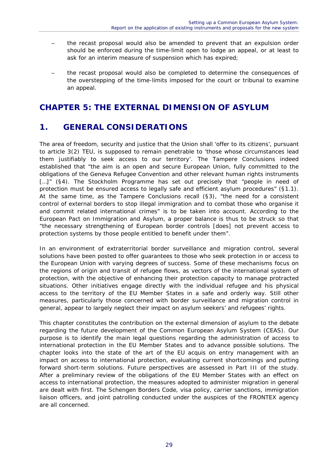- the recast proposal would also be amended to prevent that an expulsion order should be enforced during the time-limit open to lodge an appeal, or at least to ask for an interim measure of suspension which has expired;
- the recast proposal would also be completed to determine the consequences of the overstepping of the time-limits imposed for the court or tribunal to examine an appeal.

### **CHAPTER 5: THE EXTERNAL DIMENSION OF ASYLUM**

### **1. GENERAL CONSIDERATIONS**

The area of freedom, security and justice that the Union shall 'offer to its citizens', pursuant to article 3(2) TEU, is supposed to remain penetrable to 'those whose circumstances lead them justifiably to seek access to our territory'. The Tampere Conclusions indeed established that "the aim is an open and secure European Union, fully committed to the obligations of the Geneva Refugee Convention and other relevant human rights instruments [...]" (§4). The Stockholm Programme has set out precisely that "people in need of protection must be ensured access to legally safe and efficient asylum procedures" (§1.1). At the same time, as the Tampere Conclusions recall (§3), "the need for a consistent control of external borders to stop illegal immigration and to combat those who organise it and commit related international crimes" is to be taken into account. According to the European Pact on Immigration and Asylum, a proper balance is thus to be struck so that "the necessary strengthening of European border controls [does] not prevent access to protection systems by those people entitled to benefit under them".

In an environment of extraterritorial border surveillance and migration control, several solutions have been posted to offer guarantees to those who seek protection in or access to the European Union with varying degrees of success. Some of these mechanisms focus on the regions of origin and transit of refugee flows, as vectors of the international system of protection, with the objective of enhancing their protection capacity to manage protracted situations. Other initiatives engage directly with the individual refugee and his physical access to the territory of the EU Member States in a safe and orderly way. Still other measures, particularly those concerned with border surveillance and migration control in general, appear to largely neglect their impact on asylum seekers' and refugees' rights.

This chapter constitutes the contribution on the external dimension of asylum to the debate regarding the future development of the Common European Asylum System (CEAS). Our purpose is to identify the main legal questions regarding the administration of access to international protection in the EU Member States and to advance possible solutions. The chapter looks into the state of the art of the EU acquis on entry management with an impact on access to international protection, evaluating current shortcomings and putting forward short-term solutions. Future perspectives are assessed in Part III of the study. After a preliminary review of the obligations of the EU Member States with an effect on access to international protection, the measures adopted to administer migration in general are dealt with first. The Schengen Borders Code, visa policy, carrier sanctions, immigration liaison officers, and joint patrolling conducted under the auspices of the FRONTEX agency are all concerned.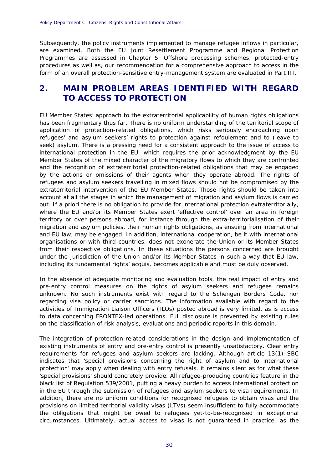Subsequently, the policy instruments implemented to manage refugee inflows in particular, are examined. Both the EU Joint Resettlement Programme and Regional Protection Programmes are assessed in Chapter 5. Offshore processing schemes, protected-entry procedures as well as, our recommendation for a comprehensive approach to access in the form of an overall protection-sensitive entry-management system are evaluated in Part III.

**\_\_\_\_\_\_\_\_\_\_\_\_\_\_\_\_\_\_\_\_\_\_\_\_\_\_\_\_\_\_\_\_\_\_\_\_\_\_\_\_\_\_\_\_\_\_\_\_\_\_\_\_\_\_\_\_\_\_\_\_\_\_\_\_\_\_\_\_\_\_\_\_\_\_\_\_\_\_\_\_\_\_\_\_\_\_\_\_\_\_\_\_**

### **2. MAIN PROBLEM AREAS IDENTIFIED WITH REGARD TO ACCESS TO PROTECTION**

EU Member States' approach to the extraterritorial applicability of human rights obligations has been fragmentary thus far. There is no uniform understanding of the territorial scope of application of protection-related obligations, which risks seriously encroaching upon refugees' and asylum seekers' rights to protection against refoulement and to (leave to seek) asylum. There is a pressing need for a consistent approach to the issue of access to international protection in the EU, which requires the prior acknowledgment by the EU Member States of the mixed character of the migratory flows to which they are confronted and the recognition of extraterritorial protection-related obligations that may be engaged by the actions or omissions of their agents when they operate abroad. The rights of refugees and asylum seekers travelling in mixed flows should not be compromised by the extraterritorial intervention of the EU Member States. Those rights should be taken into account at all the stages in which the management of migration and asylum flows is carried out. If a priori there is no obligation to provide for international protection extraterritorially, where the EU and/or its Member States exert 'effective control' over an area in foreign territory or over persons abroad, for instance through the extra-territorialisation of their migration and asylum policies, their human rights obligations, as ensuing from international and EU law, may be engaged. In addition, international cooperation, be it with international organisations or with third countries, does not exonerate the Union or its Member States from their respective obligations. In these situations the persons concerned are brought under the jurisdiction of the Union and/or its Member States in such a way that EU law, including its fundamental rights' acquis, becomes applicable and must be duly observed.

In the absence of adequate monitoring and evaluation tools, the real impact of entry and pre-entry control measures on the rights of asylum seekers and refugees remains unknown. No such instruments exist with regard to the Schengen Borders Code, nor regarding visa policy or carrier sanctions. The information available with regard to the activities of Immigration Liaison Officers (ILOs) posted abroad is very limited, as is access to data concerning FRONTEX-led operations. Full disclosure is prevented by existing rules on the classification of risk analysis, evaluations and periodic reports in this domain.

The integration of protection-related considerations in the design and implementation of existing instruments of entry and pre-entry control is presently unsatisfactory. Clear entry requirements for refugees and asylum seekers are lacking. Although article 13(1) SBC indicates that 'special provisions concerning the right of asylum and to international protection' may apply when dealing with entry refusals, it remains silent as for what these 'special provisions' should concretely provide. All refugee-producing countries feature in the black list of Regulation 539/2001, putting a heavy burden to access international protection in the EU through the submission of refugees and asylum seekers to visa requirements. In addition, there are no uniform conditions for recognised refugees to obtain visas and the provisions on limited territorial validity visas (LTVs) seem insufficient to fully accommodate the obligations that might be owed to refugees yet-to-be-recognised in exceptional circumstances. Ultimately, actual access to visas is not guaranteed in practice, as the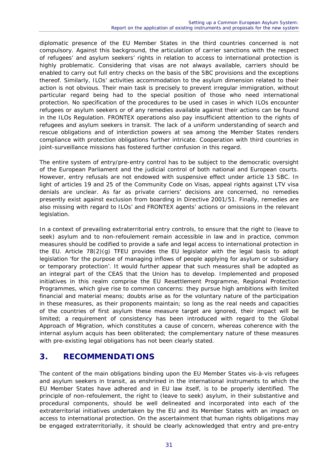diplomatic presence of the EU Member States in the third countries concerned is not compulsory. Against this background, the articulation of carrier sanctions with the respect of refugees' and asylum seekers' rights in relation to access to international protection is highly problematic. Considering that visas are not always available, carriers should be enabled to carry out full entry checks on the basis of the SBC provisions and the exceptions thereof. Similarly, ILOs' activities accommodation to the asylum dimension related to their action is not obvious. Their main task is precisely to prevent irregular immigration, without particular regard being had to the special position of those who need international protection. No specification of the procedures to be used in cases in which ILOs encounter refugees or asylum seekers or of any remedies available against their actions can be found in the ILOs Regulation. FRONTEX operations also pay insufficient attention to the rights of refugees and asylum seekers in transit. The lack of a uniform understanding of search and rescue obligations and of interdiction powers at sea among the Member States renders compliance with protection obligations further intricate. Cooperation with third countries in joint-surveillance missions has fostered further confusion in this regard.

The entire system of entry/pre-entry control has to be subject to the democratic oversight of the European Parliament and the judicial control of both national and European courts. However, entry refusals are not endowed with suspensive effect under article 13 SBC. In light of articles 19 and 25 of the Community Code on Visas, appeal rights against LTV visa denials are unclear. As far as private carriers' decisions are concerned, no remedies presently exist against exclusion from boarding in Directive 2001/51. Finally, remedies are also missing with regard to ILOs' and FRONTEX agents' actions or omissions in the relevant legislation.

In a context of prevailing extraterritorial entry controls, to ensure that the right to (leave to seek) asylum and to non-refoulement remain accessible in law and in practice, common measures should be codified to provide a safe and legal access to international protection in the EU. Article  $78(2)(q)$  TFEU provides the EU legislator with the legal basis to adopt legislation 'for the purpose of managing inflows of people applying for asylum or subsidiary or temporary protection'. It would further appear that such measures shall be adopted as an integral part of the CEAS that the Union has to develop. Implemented and proposed initiatives in this realm comprise the EU Resettlement Programme, Regional Protection Programmes, which give rise to common concerns: they pursue high ambitions with limited financial and material means; doubts arise as for the voluntary nature of the participation in these measures, as their proponents maintain; so long as the real needs and capacities of the countries of first asylum these measure target are ignored, their impact will be limited; a requirement of consistency has been introduced with regard to the Global Approach of Migration, which constitutes a cause of concern, whereas coherence with the internal asylum acquis has been obliterated; the complementary nature of these measures with pre-existing legal obligations has not been clearly stated.

### **3. RECOMMENDATIONS**

The content of the main obligations binding upon the EU Member States vis-à-vis refugees and asylum seekers in transit, as enshrined in the international instruments to which the EU Member States have adhered and in EU law itself, is to be properly identified. The principle of non-refoulement, the right to (leave to seek) asylum, in their substantive and procedural components, should be well delineated and incorporated into each of the extraterritorial initiatives undertaken by the EU and its Member States with an impact on access to international protection. On the ascertainment that human rights obligations may be engaged extraterritorially, it should be clearly acknowledged that entry and pre-entry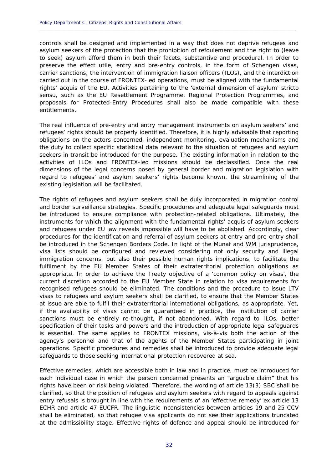controls shall be designed and implemented in a way that does not deprive refugees and asylum seekers of the protection that the prohibition of refoulement and the right to (leave to seek) asylum afford them in both their facets, substantive and procedural. In order to preserve the effect utile, entry and pre-entry controls, in the form of Schengen visas, carrier sanctions, the intervention of immigration liaison officers (ILOs), and the interdiction carried out in the course of FRONTEX-led operations, must be aligned with the fundamental rights' acquis of the EU. Activities pertaining to the 'external dimension of asylum' stricto sensu, such as the EU Resettlement Programme, Regional Protection Programmes, and proposals for Protected-Entry Procedures shall also be made compatible with these entitlements.

**\_\_\_\_\_\_\_\_\_\_\_\_\_\_\_\_\_\_\_\_\_\_\_\_\_\_\_\_\_\_\_\_\_\_\_\_\_\_\_\_\_\_\_\_\_\_\_\_\_\_\_\_\_\_\_\_\_\_\_\_\_\_\_\_\_\_\_\_\_\_\_\_\_\_\_\_\_\_\_\_\_\_\_\_\_\_\_\_\_\_\_\_**

The real influence of pre-entry and entry management instruments on asylum seekers' and refugees' rights should be properly identified. Therefore, it is highly advisable that reporting obligations on the actors concerned, independent monitoring, evaluation mechanisms and the duty to collect specific statistical data relevant to the situation of refugees and asylum seekers in transit be introduced for the purpose. The existing information in relation to the activities of ILOs and FRONTEX-led missions should be declassified. Once the real dimensions of the legal concerns posed by general border and migration legislation with regard to refugees' and asylum seekers' rights become known, the streamlining of the existing legislation will be facilitated.

The rights of refugees and asylum seekers shall be duly incorporated in migration control and border surveillance strategies. Specific procedures and adequate legal safeguards must be introduced to ensure compliance with protection-related obligations. Ultimately, the instruments for which the alignment with the fundamental rights' acquis of asylum seekers and refugees under EU law reveals impossible will have to be abolished. Accordingly, clear procedures for the identification and referral of asylum seekers at entry and pre-entry shall be introduced in the Schengen Borders Code. In light of the Munaf and WM jurisprudence, visa lists should be configured and reviewed considering not only security and illegal immigration concerns, but also their possible human rights implications, to facilitate the fulfilment by the EU Member States of their extraterritorial protection obligations as appropriate. In order to achieve the Treaty objective of a 'common policy on visas', the current discretion accorded to the EU Member State in relation to visa requirements for recognised refugees should be eliminated. The conditions and the procedure to issue LTV visas to refugees and asylum seekers shall be clarified, to ensure that the Member States at issue are able to fulfil their extraterritorial international obligations, as appropriate. Yet, if the availability of visas cannot be guaranteed in practice, the institution of carrier sanctions must be entirely re-thought, if not abandoned. With regard to ILOs, better specification of their tasks and powers and the introduction of appropriate legal safeguards is essential. The same applies to FRONTEX missions, vis-à-vis both the action of the agency's personnel and that of the agents of the Member States participating in joint operations. Specific procedures and remedies shall be introduced to provide adequate legal safeguards to those seeking international protection recovered at sea.

Effective remedies, which are accessible both in law and in practice, must be introduced for each individual case in which the person concerned presents an "arguable claim" that his rights have been or risk being violated. Therefore, the wording of article 13(3) SBC shall be clarified, so that the position of refugees and asylum seekers with regard to appeals against entry refusals is brought in line with the requirements of an 'effective remedy' ex article 13 ECHR and article 47 EUCFR. The linguistic inconsistencies between articles 19 and 25 CCV shall be eliminated, so that refugee visa applicants do not see their applications truncated at the admissibility stage. Effective rights of defence and appeal should be introduced for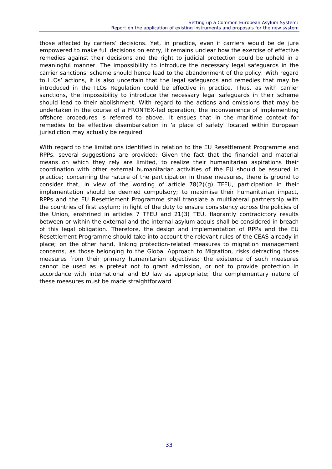those affected by carriers' decisions. Yet, in practice, even if carriers would be de jure empowered to make full decisions on entry, it remains unclear how the exercise of effective remedies against their decisions and the right to judicial protection could be upheld in a meaningful manner. The impossibility to introduce the necessary legal safeguards in the carrier sanctions' scheme should hence lead to the abandonment of the policy. With regard to ILOs' actions, it is also uncertain that the legal safeguards and remedies that may be introduced in the ILOs Regulation could be effective in practice. Thus, as with carrier sanctions, the impossibility to introduce the necessary legal safeguards in their scheme should lead to their abolishment. With regard to the actions and omissions that may be undertaken in the course of a FRONTEX-led operation, the inconvenience of implementing offshore procedures is referred to above. It ensues that in the maritime context for remedies to be effective disembarkation in 'a place of safety' located within European jurisdiction may actually be required.

With regard to the limitations identified in relation to the EU Resettlement Programme and RPPs, several suggestions are provided: Given the fact that the financial and material means on which they rely are limited, to realize their humanitarian aspirations their coordination with other external humanitarian activities of the EU should be assured in practice; concerning the nature of the participation in these measures, there is ground to consider that, in view of the wording of article  $78(2)(g)$  TFEU, participation in their implementation should be deemed compulsory; to maximise their humanitarian impact, RPPs and the EU Resettlement Programme shall translate a multilateral partnership with the countries of first asylum; in light of the duty to ensure consistency across the policies of the Union, enshrined in articles 7 TFEU and 21(3) TEU, flagrantly contradictory results between or within the external and the internal asylum acquis shall be considered in breach of this legal obligation. Therefore, the design and implementation of RPPs and the EU Resettlement Programme should take into account the relevant rules of the CEAS already in place; on the other hand, linking protection-related measures to migration management concerns, as those belonging to the Global Approach to Migration, risks detracting those measures from their primary humanitarian objectives; the existence of such measures cannot be used as a pretext not to grant admission, or not to provide protection in accordance with international and EU law as appropriate; the complementary nature of these measures must be made straightforward.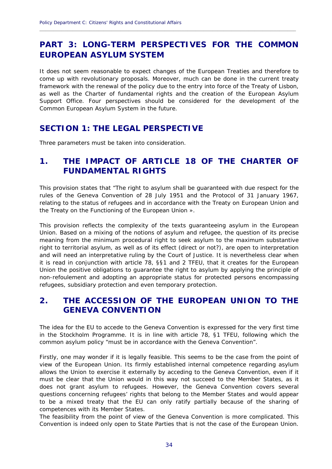### **PART 3: LONG-TERM PERSPECTIVES FOR THE COMMON EUROPEAN ASYLUM SYSTEM**

**\_\_\_\_\_\_\_\_\_\_\_\_\_\_\_\_\_\_\_\_\_\_\_\_\_\_\_\_\_\_\_\_\_\_\_\_\_\_\_\_\_\_\_\_\_\_\_\_\_\_\_\_\_\_\_\_\_\_\_\_\_\_\_\_\_\_\_\_\_\_\_\_\_\_\_\_\_\_\_\_\_\_\_\_\_\_\_\_\_\_\_\_**

It does not seem reasonable to expect changes of the European Treaties and therefore to come up with revolutionary proposals. Moreover, much can be done in the current treaty framework with the renewal of the policy due to the entry into force of the Treaty of Lisbon, as well as the Charter of fundamental rights and the creation of the European Asylum Support Office. Four perspectives should be considered for the development of the Common European Asylum System in the future.

### **SECTION 1: THE LEGAL PERSPECTIVE**

Three parameters must be taken into consideration.

### **1. THE IMPACT OF ARTICLE 18 OF THE CHARTER OF FUNDAMENTAL RIGHTS**

This provision states that "The right to asylum shall be guaranteed with due respect for the rules of the Geneva Convention of 28 July 1951 and the Protocol of 31 January 1967, relating to the status of refugees and in accordance with the Treaty on European Union and the Treaty on the Functioning of the European Union ».

This provision reflects the complexity of the texts guaranteeing asylum in the European Union. Based on a mixing of the notions of asylum and refugee, the question of its precise meaning from the minimum procedural right to seek asylum to the maximum substantive right to territorial asylum, as well as of its effect (direct or not?), are open to interpretation and will need an interpretative ruling by the Court of Justice. It is nevertheless clear when it is read in conjunction with article 78, §§1 and 2 TFEU, that it creates for the European Union the positive obligations to guarantee the right to asylum by applying the principle of non-refoulement and adopting an appropriate status for protected persons encompassing refugees, subsidiary protection and even temporary protection.

### **2. THE ACCESSION OF THE EUROPEAN UNION TO THE GENEVA CONVENTION**

The idea for the EU to accede to the Geneva Convention is expressed for the very first time in the Stockholm Programme. It is in line with article 78, §1 TFEU, following which the common asylum policy "must be in accordance with the Geneva Convention".

Firstly, one may wonder if it is legally feasible. This seems to be the case from the point of view of the European Union. Its firmly established internal competence regarding asylum allows the Union to exercise it externally by acceding to the Geneva Convention, even if it must be clear that the Union would in this way not succeed to the Member States, as it does not grant asylum to refugees. However, the Geneva Convention covers several questions concerning refugees' rights that belong to the Member States and would appear to be a mixed treaty that the EU can only ratify partially because of the sharing of competences with its Member States.

The feasibility from the point of view of the Geneva Convention is more complicated. This Convention is indeed only open to State Parties that is not the case of the European Union.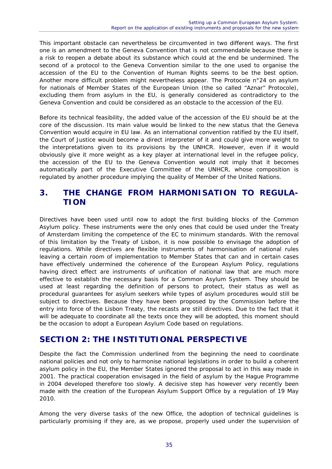This important obstacle can nevertheless be circumvented in two different ways. The first one is an amendment to the Geneva Convention that is not commendable because there is a risk to reopen a debate about its substance which could at the end be undermined. The second of a protocol to the Geneva Convention similar to the one used to organise the accession of the EU to the Convention of Human Rights seems to be the best option. Another more difficult problem might nevertheless appear. The Protocole n°24 on asylum for nationals of Member States of the European Union (the so called "Aznar" Protocole), excluding them from asylum in the EU, is generally considered as contradictory to the Geneva Convention and could be considered as an obstacle to the accession of the EU.

Before its technical feasibility, the added value of the accession of the EU should be at the core of the discussion. Its main value would be linked to the new status that the Geneva Convention would acquire in EU law. As an international convention ratified by the EU itself, the Court of Justice would become a direct interpreter of it and could give more weight to the interpretations given to its provisions by the UNHCR. However, even if it would obviously give it more weight as a key player at international level in the refugee policy, the accession of the EU to the Geneva Convention would not imply that it becomes automatically part of the Executive Committee of the UNHCR, whose composition is regulated by another procedure implying the quality of Member of the United Nations.

### **3. THE CHANGE FROM HARMONISATION TO REGULA-TION**

Directives have been used until now to adopt the first building blocks of the Common Asylum policy. These instruments were the only ones that could be used under the Treaty of Amsterdam limiting the competence of the EC to minimum standards. With the removal of this limitation by the Treaty of Lisbon, it is now possible to envisage the adoption of regulations. While directives are flexible instruments of harmonisation of national rules leaving a certain room of implementation to Member States that can and in certain cases have effectively undermined the coherence of the European Asylum Policy, regulations having direct effect are instruments of unification of national law that are much more effective to establish the necessary basis for a Common Asylum System. They should be used at least regarding the definition of persons to protect, their status as well as procedural guarantees for asylum seekers while types of asylum procedures would still be subject to directives. Because they have been proposed by the Commission before the entry into force of the Lisbon Treaty, the recasts are still directives. Due to the fact that it will be adequate to coordinate all the texts once they will be adopted, this moment should be the occasion to adopt a European Asylum Code based on regulations.

### **SECTION 2: THE INSTITUTIONAL PERSPECTIVE**

Despite the fact the Commission underlined from the beginning the need to coordinate national policies and not only to harmonise national legislations in order to build a coherent asylum policy in the EU, the Member States ignored the proposal to act in this way made in 2001. The practical cooperation envisaged in the field of asylum by the Hague Programme in 2004 developed therefore too slowly. A decisive step has however very recently been made with the creation of the European Asylum Support Office by a regulation of 19 May 2010.

Among the very diverse tasks of the new Office, the adoption of technical guidelines is particularly promising if they are, as we propose, properly used under the supervision of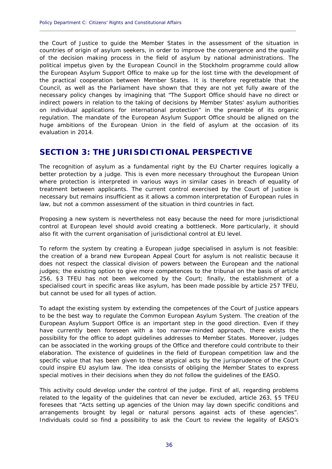the Court of Justice to guide the Member States in the assessment of the situation in countries of origin of asylum seekers, in order to improve the convergence and the quality of the decision making process in the field of asylum by national administrations. The political impetus given by the European Council in the Stockholm programme could allow the European Asylum Support Office to make up for the lost time with the development of the practical cooperation between Member States. It is therefore regrettable that the Council, as well as the Parliament have shown that they are not yet fully aware of the necessary policy changes by imagining that "The Support Office should have no direct or indirect powers in relation to the taking of decisions by Member States' asylum authorities on individual applications for international protection" in the preamble of its organic regulation. The mandate of the European Asylum Support Office should be aligned on the huge ambitions of the European Union in the field of asylum at the occasion of its evaluation in 2014.

**\_\_\_\_\_\_\_\_\_\_\_\_\_\_\_\_\_\_\_\_\_\_\_\_\_\_\_\_\_\_\_\_\_\_\_\_\_\_\_\_\_\_\_\_\_\_\_\_\_\_\_\_\_\_\_\_\_\_\_\_\_\_\_\_\_\_\_\_\_\_\_\_\_\_\_\_\_\_\_\_\_\_\_\_\_\_\_\_\_\_\_\_**

#### **SECTION 3: THE JURISDICTIONAL PERSPECTIVE**

The recognition of asylum as a fundamental right by the EU Charter requires logically a better protection by a judge. This is even more necessary throughout the European Union where protection is interpreted in various ways in similar cases in breach of equality of treatment between applicants. The current control exercised by the Court of Justice is necessary but remains insufficient as it allows a common interpretation of European rules in law, but not a common assessment of the situation in third countries in fact.

Proposing a new system is nevertheless not easy because the need for more jurisdictional control at European level should avoid creating a bottleneck. More particularly, it should also fit with the current organisation of jurisdictional control at EU level.

To reform the system by creating a European judge specialised in asylum is not feasible: the creation of a brand new European Appeal Court for asylum is not realistic because it does not respect the classical division of powers between the European and the national judges; the existing option to give more competences to the tribunal on the basis of article 256, §3 TFEU has not been welcomed by the Court; finally, the establishment of a specialised court in specific areas like asylum, has been made possible by article 257 TFEU, but cannot be used for all types of action.

To adapt the existing system by extending the competences of the Court of Justice appears to be the best way to regulate the Common European Asylum System. The creation of the European Asylum Support Office is an important step in the good direction. Even if they have currently been foreseen with a too narrow-minded approach, there exists the possibility for the office to adopt guidelines addresses to Member States. Moreover, judges can be associated in the working groups of the Office and therefore could contribute to their elaboration. The existence of guidelines in the field of European competition law and the specific value that has been given to these atypical acts by the jurisprudence of the Court could inspire EU asylum law. The idea consists of obliging the Member States to express special motives in their decisions when they do not follow the guidelines of the EASO.

This activity could develop under the control of the judge. First of all, regarding problems related to the legality of the guidelines that can never be excluded, article 263, §5 TFEU foresees that "Acts setting up agencies of the Union may lay down specific conditions and arrangements brought by legal or natural persons against acts of these agencies". Individuals could so find a possibility to ask the Court to review the legality of EASO's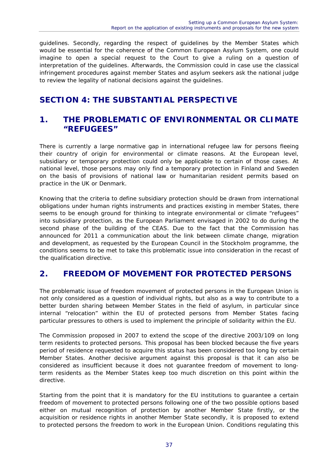guidelines. Secondly, regarding the respect of guidelines by the Member States which would be essential for the coherence of the Common European Asylum System, one could imagine to open a special request to the Court to give a ruling on a question of interpretation of the guidelines. Afterwards, the Commission could in case use the classical infringement procedures against member States and asylum seekers ask the national judge to review the legality of national decisions against the guidelines.

### **SECTION 4: THE SUBSTANTIAL PERSPECTIVE**

### **1. THE PROBLEMATIC OF ENVIRONMENTAL OR CLIMATE "REFUGEES"**

There is currently a large normative gap in international refugee law for persons fleeing their country of origin for environmental or climate reasons. At the European level, subsidiary or temporary protection could only be applicable to certain of those cases. At national level, those persons may only find a temporary protection in Finland and Sweden on the basis of provisions of national law or humanitarian resident permits based on practice in the UK or Denmark.

Knowing that the criteria to define subsidiary protection should be drawn from international obligations under human rights instruments and practices existing in member States, there seems to be enough ground for thinking to integrate environmental or climate "refugees" into subsidiary protection, as the European Parliament envisaged in 2002 to do during the second phase of the building of the CEAS. Due to the fact that the Commission has announced for 2011 a communication about the link between climate change, migration and development, as requested by the European Council in the Stockholm programme, the conditions seems to be met to take this problematic issue into consideration in the recast of the qualification directive.

### **2. FREEDOM OF MOVEMENT FOR PROTECTED PERSONS**

The problematic issue of freedom movement of protected persons in the European Union is not only considered as a question of individual rights, but also as a way to contribute to a better burden sharing between Member States in the field of asylum, in particular since internal "relocation" within the EU of protected persons from Member States facing particular pressures to others is used to implement the principle of solidarity within the EU.

The Commission proposed in 2007 to extend the scope of the directive 2003/109 on long term residents to protected persons. This proposal has been blocked because the five years period of residence requested to acquire this status has been considered too long by certain Member States. Another decisive argument against this proposal is that it can also be considered as insufficient because it does not guarantee freedom of movement to longterm residents as the Member States keep too much discretion on this point within the directive.

Starting from the point that it is mandatory for the EU institutions to guarantee a certain freedom of movement to protected persons following one of the two possible options based either on mutual recognition of protection by another Member State firstly, or the acquisition or residence rights in another Member State secondly, it is proposed to extend to protected persons the freedom to work in the European Union. Conditions regulating this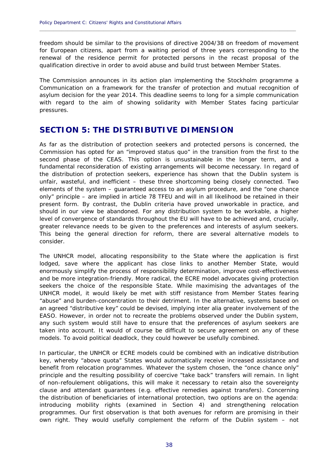freedom should be similar to the provisions of directive 2004/38 on freedom of movement for European citizens, apart from a waiting period of three years corresponding to the renewal of the residence permit for protected persons in the recast proposal of the qualification directive in order to avoid abuse and build trust between Member States.

**\_\_\_\_\_\_\_\_\_\_\_\_\_\_\_\_\_\_\_\_\_\_\_\_\_\_\_\_\_\_\_\_\_\_\_\_\_\_\_\_\_\_\_\_\_\_\_\_\_\_\_\_\_\_\_\_\_\_\_\_\_\_\_\_\_\_\_\_\_\_\_\_\_\_\_\_\_\_\_\_\_\_\_\_\_\_\_\_\_\_\_\_**

The Commission announces in its action plan implementing the Stockholm programme a Communication on a framework for the transfer of protection and mutual recognition of asylum decision for the year 2014. This deadline seems to long for a simple communication with regard to the aim of showing solidarity with Member States facing particular pressures.

### **SECTION 5: THE DISTRIBUTIVE DIMENSION**

As far as the distribution of protection seekers and protected persons is concerned, the Commission has opted for an "improved status quo" in the transition from the first to the second phase of the CEAS. This option is unsustainable in the longer term, and a fundamental reconsideration of existing arrangements will become necessary. In regard of the distribution of protection seekers, experience has shown that the Dublin system is unfair, wasteful, and inefficient – these three shortcoming being closely connected. Two elements of the system – guaranteed access to an asylum procedure, and the "one chance only" principle – are implied in article 78 TFEU and will in all likelihood be retained in their present form. By contrast, the Dublin criteria have proved unworkable in practice, and should in our view be abandoned. For any distribution system to be workable, a higher level of convergence of standards throughout the EU will have to be achieved and, crucially, greater relevance needs to be given to the preferences and interests of asylum seekers. This being the general direction for reform, there are several alternative models to consider.

The UNHCR model, allocating responsibility to the State where the application is first lodged, save where the applicant has close links to another Member State, would enormously simplify the process of responsibility determination, improve cost-effectiveness and be more integration-friendly. More radical, the ECRE model advocates giving protection seekers the choice of the responsible State. While maximising the advantages of the UNHCR model, it would likely be met with stiff resistance from Member States fearing "abuse" and burden-concentration to their detriment. In the alternative, systems based on an agreed "distributive key" could be devised, implying inter alia greater involvement of the EASO. However, in order not to recreate the problems observed under the Dublin system, any such system would still have to ensure that the preferences of asylum seekers are taken into account. It would of course be difficult to secure agreement on any of these models. To avoid political deadlock, they could however be usefully combined.

In particular, the UNHCR or ECRE models could be combined with an indicative distribution key, whereby "above quota" States would automatically receive increased assistance and benefit from relocation programmes. Whatever the system chosen, the "once chance only" principle and the resulting possibility of coercive "take back" transfers will remain. In light of non-refoulement obligations, this will make it necessary to retain also the sovereignty clause and attendant guarantees (e.g. effective remedies against transfers). Concerning the distribution of beneficiaries of international protection, two options are on the agenda: introducing mobility rights (examined in Section 4) and strengthening relocation programmes. Our first observation is that both avenues for reform are promising in their own right. They would usefully complement the reform of the Dublin system – not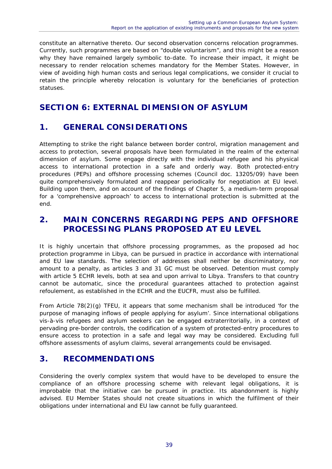constitute an alternative thereto. Our second observation concerns relocation programmes. Currently, such programmes are based on "double voluntarism", and this might be a reason why they have remained largely symbolic to-date. To increase their impact, it might be necessary to render relocation schemes mandatory for the Member States. However, in view of avoiding high human costs and serious legal complications, we consider it crucial to retain the principle whereby relocation is voluntary for the beneficiaries of protection statuses.

### **SECTION 6: EXTERNAL DIMENSION OF ASYLUM**

### **1. GENERAL CONSIDERATIONS**

Attempting to strike the right balance between border control, migration management and access to protection, several proposals have been formulated in the realm of the external dimension of asylum. Some engage directly with the individual refugee and his physical access to international protection in a safe and orderly way. Both protected-entry procedures (PEPs) and offshore processing schemes (Council doc. 13205/09) have been quite comprehensively formulated and reappear periodically for negotiation at EU level. Building upon them, and on account of the findings of Chapter 5, a medium-term proposal for a 'comprehensive approach' to access to international protection is submitted at the end.

### **2. MAIN CONCERNS REGARDING PEPS AND OFFSHORE PROCESSING PLANS PROPOSED AT EU LEVEL**

It is highly uncertain that offshore processing programmes, as the proposed ad hoc protection programme in Libya, can be pursued in practice in accordance with international and EU law standards. The selection of addresses shall neither be discriminatory, nor amount to a penalty, as articles 3 and 31 GC must be observed. Detention must comply with article 5 ECHR levels, both at sea and upon arrival to Libya. Transfers to that country cannot be automatic, since the procedural guarantees attached to protection against refoulement, as established in the ECHR and the EUCFR, must also be fulfilled.

From Article 78(2)(g) TFEU, it appears that some mechanism shall be introduced 'for the purpose of managing inflows of people applying for asylum'. Since international obligations vis-à-vis refugees and asylum seekers can be engaged extraterritorially, in a context of pervading pre-border controls, the codification of a system of protected-entry procedures to ensure access to protection in a safe and legal way may be considered. Excluding full offshore assessments of asylum claims, several arrangements could be envisaged.

### **3. RECOMMENDATIONS**

Considering the overly complex system that would have to be developed to ensure the compliance of an offshore processing scheme with relevant legal obligations, it is improbable that the initiative can be pursued in practice. Its abandonment is highly advised. EU Member States should not create situations in which the fulfilment of their obligations under international and EU law cannot be fully guaranteed.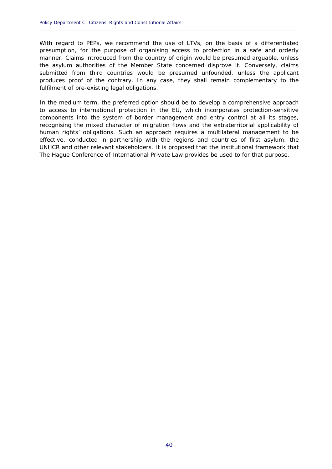With regard to PEPs, we recommend the use of LTVs, on the basis of a differentiated presumption, for the purpose of organising access to protection in a safe and orderly manner. Claims introduced from the country of origin would be presumed arguable, unless the asylum authorities of the Member State concerned disprove it. Conversely, claims submitted from third countries would be presumed unfounded, unless the applicant produces proof of the contrary. In any case, they shall remain complementary to the fulfilment of pre-existing legal obligations.

**\_\_\_\_\_\_\_\_\_\_\_\_\_\_\_\_\_\_\_\_\_\_\_\_\_\_\_\_\_\_\_\_\_\_\_\_\_\_\_\_\_\_\_\_\_\_\_\_\_\_\_\_\_\_\_\_\_\_\_\_\_\_\_\_\_\_\_\_\_\_\_\_\_\_\_\_\_\_\_\_\_\_\_\_\_\_\_\_\_\_\_\_**

In the medium term, the preferred option should be to develop a comprehensive approach to access to international protection in the EU, which incorporates protection-sensitive components into the system of border management and entry control at all its stages, recognising the mixed character of migration flows and the extraterritorial applicability of human rights' obligations. Such an approach requires a multilateral management to be effective, conducted in partnership with the regions and countries of first asylum, the UNHCR and other relevant stakeholders. It is proposed that the institutional framework that The Hague Conference of International Private Law provides be used to for that purpose.